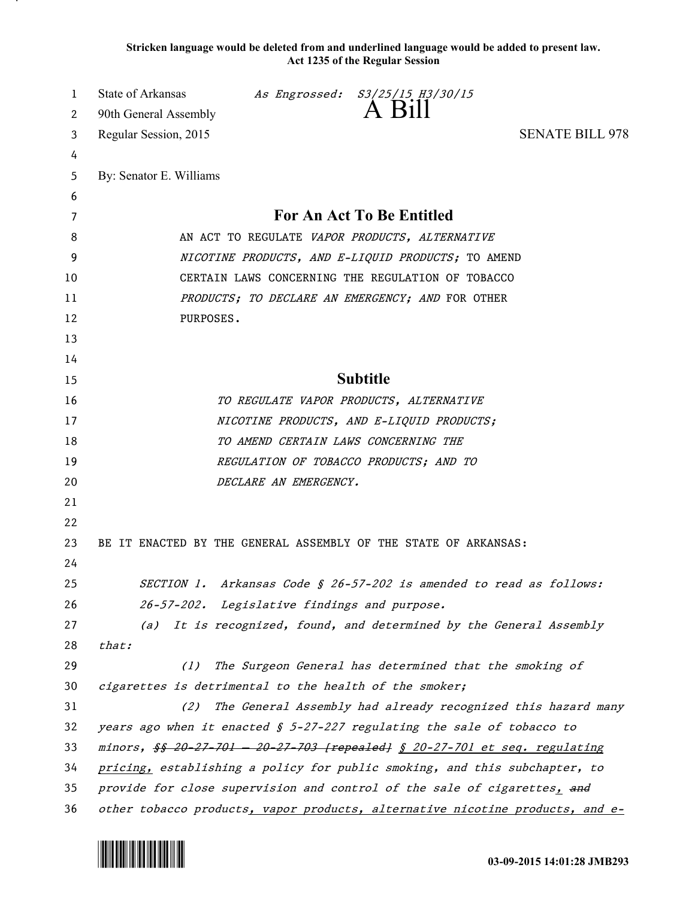**Stricken language would be deleted from and underlined language would be added to present law. Act 1235 of the Regular Session**

| 1      | State of Arkansas                                                                        |                                              | As Engrossed: S3/25/15 H3/30/15<br>A Bill                                                               |                                                                               |
|--------|------------------------------------------------------------------------------------------|----------------------------------------------|---------------------------------------------------------------------------------------------------------|-------------------------------------------------------------------------------|
| 2      | 90th General Assembly                                                                    |                                              |                                                                                                         |                                                                               |
| 3      | Regular Session, 2015                                                                    |                                              |                                                                                                         | <b>SENATE BILL 978</b>                                                        |
| 4      |                                                                                          |                                              |                                                                                                         |                                                                               |
| 5      | By: Senator E. Williams                                                                  |                                              |                                                                                                         |                                                                               |
| 6      |                                                                                          |                                              | For An Act To Be Entitled                                                                               |                                                                               |
| 7      |                                                                                          |                                              |                                                                                                         |                                                                               |
| 8<br>9 |                                                                                          |                                              | AN ACT TO REGULATE VAPOR PRODUCTS, ALTERNATIVE                                                          |                                                                               |
| 10     |                                                                                          |                                              | NICOTINE PRODUCTS, AND E-LIQUID PRODUCTS; TO AMEND<br>CERTAIN LAWS CONCERNING THE REGULATION OF TOBACCO |                                                                               |
| 11     |                                                                                          |                                              | PRODUCTS; TO DECLARE AN EMERGENCY; AND FOR OTHER                                                        |                                                                               |
| 12     | PURPOSES.                                                                                |                                              |                                                                                                         |                                                                               |
| 13     |                                                                                          |                                              |                                                                                                         |                                                                               |
| 14     |                                                                                          |                                              |                                                                                                         |                                                                               |
| 15     |                                                                                          |                                              | <b>Subtitle</b>                                                                                         |                                                                               |
| 16     |                                                                                          |                                              | TO REGULATE VAPOR PRODUCTS, ALTERNATIVE                                                                 |                                                                               |
| 17     |                                                                                          |                                              | NICOTINE PRODUCTS, AND E-LIQUID PRODUCTS;                                                               |                                                                               |
| 18     |                                                                                          | TO AMEND CERTAIN LAWS CONCERNING THE         |                                                                                                         |                                                                               |
| 19     |                                                                                          |                                              | REGULATION OF TOBACCO PRODUCTS; AND TO                                                                  |                                                                               |
| 20     |                                                                                          | DECLARE AN EMERGENCY.                        |                                                                                                         |                                                                               |
| 21     |                                                                                          |                                              |                                                                                                         |                                                                               |
| 22     |                                                                                          |                                              |                                                                                                         |                                                                               |
| 23     | BE IT ENACTED BY THE GENERAL ASSEMBLY OF THE STATE OF ARKANSAS:                          |                                              |                                                                                                         |                                                                               |
| 24     |                                                                                          |                                              |                                                                                                         |                                                                               |
| 25     |                                                                                          |                                              | SECTION 1. Arkansas Code § 26-57-202 is amended to read as follows:                                     |                                                                               |
| 26     |                                                                                          | 26-57-202. Legislative findings and purpose. |                                                                                                         |                                                                               |
| 27     |                                                                                          |                                              | (a) It is recognized, found, and determined by the General Assembly                                     |                                                                               |
| 28     | that:                                                                                    |                                              |                                                                                                         |                                                                               |
| 29     | (1)                                                                                      |                                              | The Surgeon General has determined that the smoking of                                                  |                                                                               |
| 30     | cigarettes is detrimental to the health of the smoker;                                   |                                              |                                                                                                         |                                                                               |
| 31     | (2)                                                                                      |                                              |                                                                                                         | The General Assembly had already recognized this hazard many                  |
| 32     | years ago when it enacted $\frac{1}{2}$ 5-27-227 regulating the sale of tobacco to       |                                              |                                                                                                         |                                                                               |
| 33     | minors, <del>\$\$ 20 27 701 - 20 27 703 [repealed]</del> \$ 20-27-701 et seq. regulating |                                              |                                                                                                         |                                                                               |
| 34     | pricing, establishing a policy for public smoking, and this subchapter, to               |                                              |                                                                                                         |                                                                               |
| 35     | provide for close supervision and control of the sale of cigarettes, and                 |                                              |                                                                                                         |                                                                               |
| 36     |                                                                                          |                                              |                                                                                                         | other tobacco products, vapor products, alternative nicotine products, and e- |

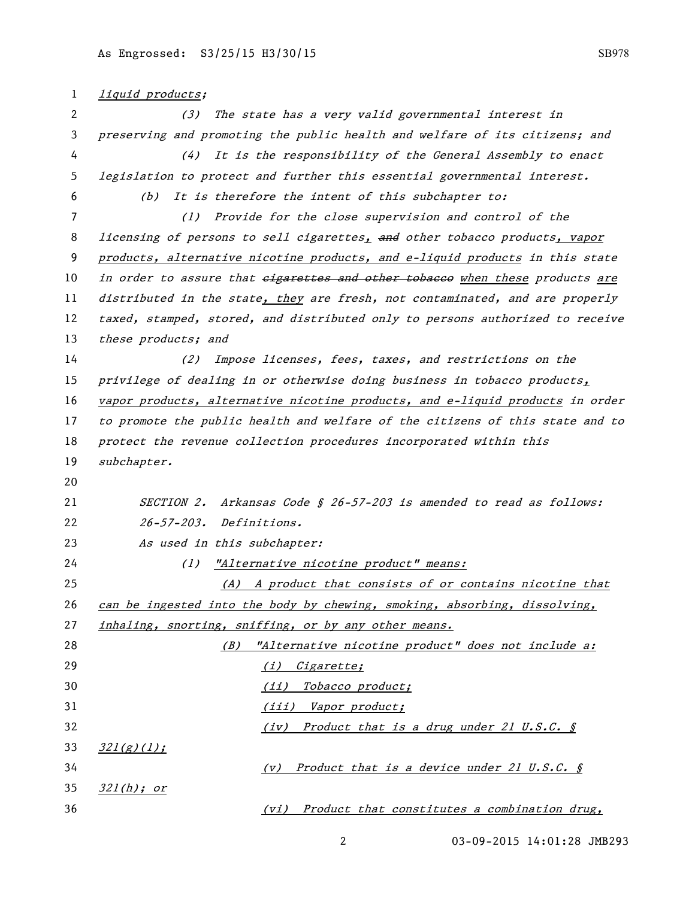| 1  | liquid products;                                                              |
|----|-------------------------------------------------------------------------------|
| 2  | The state has a very valid governmental interest in<br>(3)                    |
| 3  | preserving and promoting the public health and welfare of its citizens; and   |
| 4  | It is the responsibility of the General Assembly to enact<br>(4)              |
| 5  | legislation to protect and further this essential governmental interest.      |
| 6  | It is therefore the intent of this subchapter to:<br>(b)                      |
| 7  | Provide for the close supervision and control of the<br>(1)                   |
| 8  | licensing of persons to sell cigarettes, and other tobacco products, vapor    |
| 9  | products, alternative nicotine products, and e-liquid products in this state  |
| 10 | in order to assure that eigarettes and other tobaceo when these products are  |
| 11 | distributed in the state, they are fresh, not contaminated, and are properly  |
| 12 | taxed, stamped, stored, and distributed only to persons authorized to receive |
| 13 | these products; and                                                           |
| 14 | Impose licenses, fees, taxes, and restrictions on the<br>(2)                  |
| 15 | privilege of dealing in or otherwise doing business in tobacco products,      |
| 16 | vapor products, alternative nicotine products, and e-liquid products in order |
| 17 | to promote the public health and welfare of the citizens of this state and to |
| 18 | protect the revenue collection procedures incorporated within this            |
| 19 | subchapter.                                                                   |
| 20 |                                                                               |
| 21 | Arkansas Code § 26-57-203 is amended to read as follows:<br><i>SECTION 2.</i> |
| 22 | $26 - 57 - 203$ .<br><i>Definitions.</i>                                      |
| 23 | As used in this subchapter:                                                   |
| 24 | "Alternative nicotine product" means:<br>(1)                                  |
| 25 | (A) A product that consists of or contains nicotine that                      |
| 26 | can be ingested into the body by chewing, smoking, absorbing, dissolving,     |
| 27 | inhaling, snorting, sniffing, or by any other means.                          |
| 28 | "Alternative nicotine product" does not include a:<br>(B)                     |
| 29 | (i) Cigarette;                                                                |
| 30 | <u>Tobacco product;</u><br>(iii)                                              |
| 31 | (iii) Vapor product;                                                          |
| 32 | (iv) Product that is a drug under 21 U.S.C. §                                 |
| 33 | 321(g)(1);                                                                    |
| 34 | Product that is a device under 21 U.S.C. §<br>(v)                             |
| 35 | <u>321(h); or</u>                                                             |
| 36 | Product that constitutes a combination drug,<br>(vi)                          |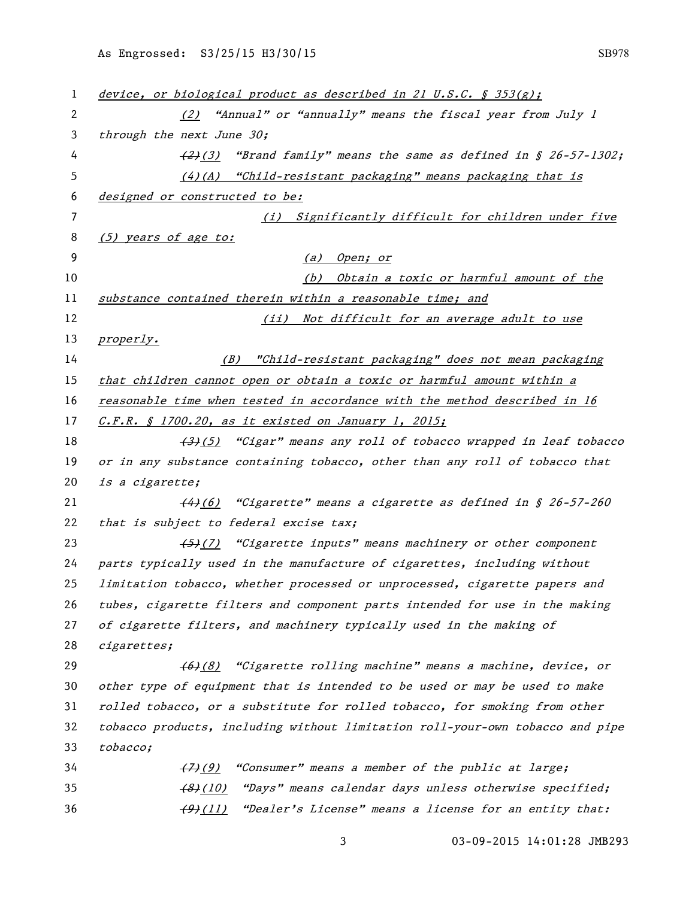| 1  | device, or biological product as described in 21 U.S.C. $\oint$ 353(g);         |
|----|---------------------------------------------------------------------------------|
| 2  | (2) "Annual" or "annually" means the fiscal year from July 1                    |
| 3  | through the next June 30;                                                       |
| 4  | $\left(2\right)(3)$ "Brand family" means the same as defined in § 26-57-1302;   |
| 5  | $(4)$ (A) "Child-resistant packaging" means packaging that is                   |
| 6  | designed or constructed to be:                                                  |
| 7  | (i) Significantly difficult for children under five                             |
| 8  | (5) years of age to:                                                            |
| 9  | (a) Open; or                                                                    |
| 10 | Obtain a toxic or harmful amount of the<br>(b)                                  |
| 11 | substance contained therein within a reasonable time; and                       |
| 12 | Not difficult for an average adult to use<br>(iii)                              |
| 13 | properly.                                                                       |
| 14 | (B) "Child-resistant packaging" does not mean packaging                         |
| 15 | that children cannot open or obtain a toxic or harmful amount within a          |
| 16 | reasonable time when tested in accordance with the method described in 16       |
| 17 | <u>C.F.R. § 1700.20, as it existed on January 1, 2015;</u>                      |
| 18 | (3)(5) "Cigar" means any roll of tobacco wrapped in leaf tobacco                |
| 19 | or in any substance containing tobacco, other than any roll of tobacco that     |
| 20 | is a cigarette;                                                                 |
| 21 | (4)(6) "Cigarette" means a cigarette as defined in § 26-57-260                  |
| 22 | that is subject to federal excise tax;                                          |
| 23 | (5)(7) "Cigarette inputs" means machinery or other component                    |
| 24 | parts typically used in the manufacture of cigarettes, including without        |
| 25 | limitation tobacco, whether processed or unprocessed, cigarette papers and      |
| 26 | tubes, cigarette filters and component parts intended for use in the making     |
| 27 | of cigarette filters, and machinery typically used in the making of             |
| 28 | cigarettes;                                                                     |
| 29 | (6)(8) "Cigarette rolling machine" means a machine, device, or                  |
| 30 | other type of equipment that is intended to be used or may be used to make      |
| 31 | rolled tobacco, or a substitute for rolled tobacco, for smoking from other      |
| 32 | tobacco products, including without limitation roll-your-own tobacco and pipe   |
| 33 | tobacco;                                                                        |
| 34 | "Consumer" means a member of the public at large;<br>$\left(\frac{7}{2}\right)$ |
| 35 | "Days" means calendar days unless otherwise specified;<br>$\frac{(8)}{(10)}$    |
| 36 | "Dealer's License" means a license for an entity that:<br>$\frac{(9)(11)}{2}$   |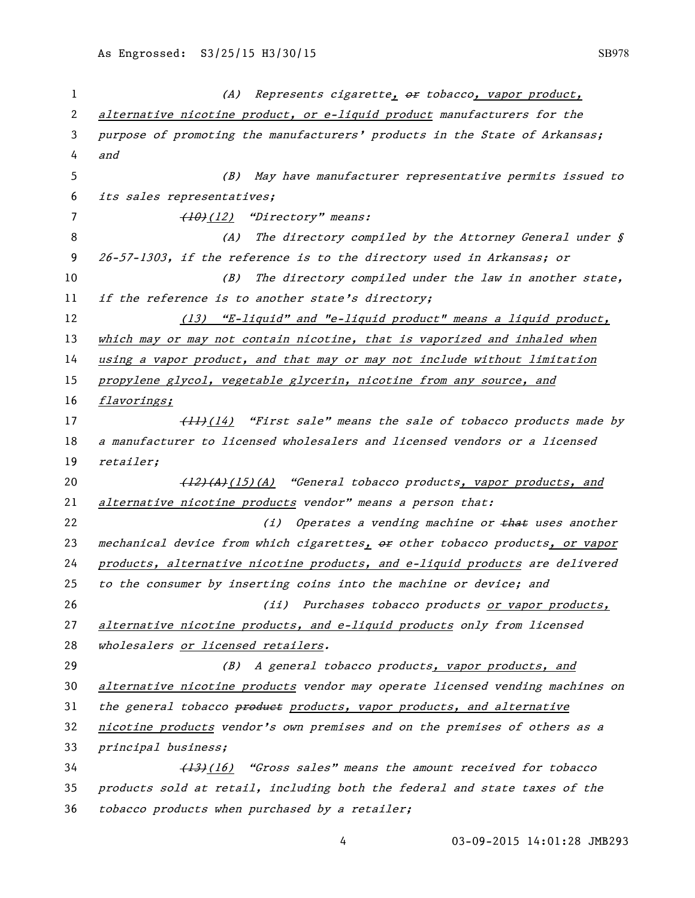| 1  | (A) Represents cigarette, or tobacco, vapor product,                          |
|----|-------------------------------------------------------------------------------|
| 2  | alternative nicotine product, or e-liquid product manufacturers for the       |
| 3  | purpose of promoting the manufacturers' products in the State of Arkansas;    |
| 4  | and                                                                           |
| 5  | (B) May have manufacturer representative permits issued to                    |
| 6  | its sales representatives;                                                    |
| 7  | (10)(12) "Directory" means:                                                   |
| 8  | (A) The directory compiled by the Attorney General under $\oint$              |
| 9  | 26-57-1303, if the reference is to the directory used in Arkansas; or         |
| 10 | The directory compiled under the law in another state,<br>(B)                 |
| 11 | if the reference is to another state's directory;                             |
| 12 | (13) "E-liquid" and "e-liquid product" means a liquid product,                |
| 13 | which may or may not contain nicotine, that is vaporized and inhaled when     |
| 14 | using a vapor product, and that may or may not include without limitation     |
| 15 | propylene glycol, vegetable glycerin, nicotine from any source, and           |
| 16 | flavorings;                                                                   |
| 17 | (14) "First sale" means the sale of tobacco products made by                  |
| 18 | a manufacturer to licensed wholesalers and licensed vendors or a licensed     |
| 19 | retailer;                                                                     |
| 20 | (12)(A)(15)(A) "General tobacco products, vapor products, and                 |
| 21 | alternative nicotine products vendor" means a person that:                    |
| 22 | (i) Operates a vending machine or that uses another                           |
| 23 | mechanical device from which cigarettes, or other tobacco products, or vapor  |
| 24 | products, alternative nicotine products, and e-liquid products are delivered  |
| 25 | to the consumer by inserting coins into the machine or device; and            |
| 26 | (ii) Purchases tobacco products or vapor products,                            |
| 27 | alternative nicotine products, and e-liquid products only from licensed       |
| 28 | wholesalers or licensed retailers.                                            |
| 29 | (B) A general tobacco products, vapor products, and                           |
| 30 | alternative nicotine products vendor may operate licensed vending machines on |
| 31 | the general tobacco products products, vapor products, and alternative        |
| 32 | nicotine products vendor's own premises and on the premises of others as a    |
| 33 | principal business;                                                           |
| 34 | (13)(16) "Gross sales" means the amount received for tobacco                  |
| 35 | products sold at retail, including both the federal and state taxes of the    |
| 36 | tobacco products when purchased by a retailer;                                |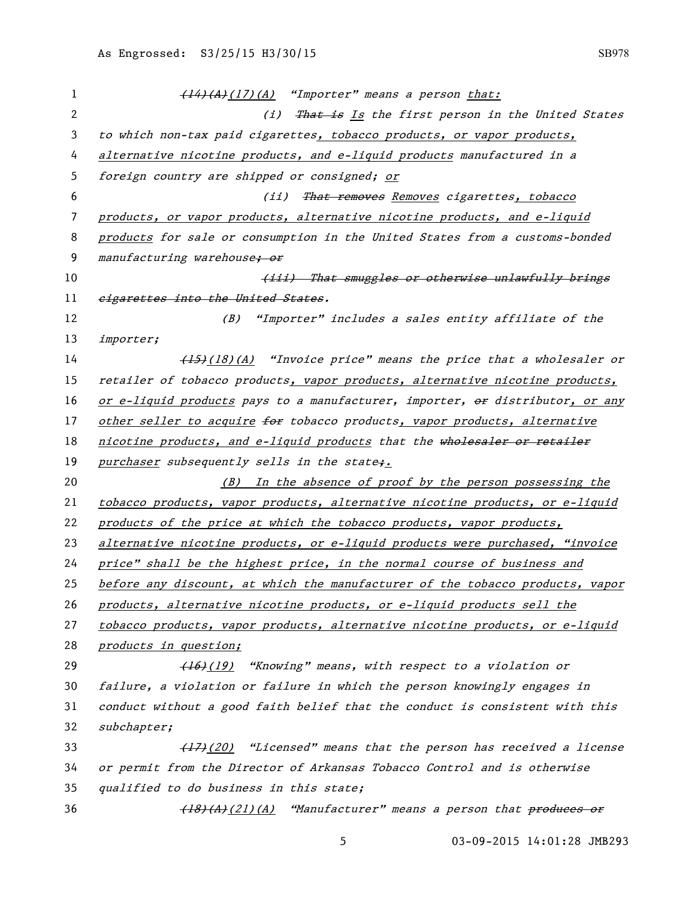| 1  | (14)(A)(17)(A) "Importer" means a person that:                                |
|----|-------------------------------------------------------------------------------|
| 2  | (i) That is Is the first person in the United States                          |
| 3  | to which non-tax paid cigarettes, tobacco products, or vapor products,        |
| 4  | alternative nicotine products, and e-liquid products manufactured in a        |
| 5  | foreign country are shipped or consigned; or                                  |
| 6  | (ii) That removes Removes cigarettes, tobacco                                 |
| 7  | products, or vapor products, alternative nicotine products, and e-liquid      |
| 8  | products for sale or consumption in the United States from a customs-bonded   |
| 9  | manufacturing warehouse; or                                                   |
| 10 | (iii) That smuggles or otherwise unlawfully brings                            |
| 11 | eigarettes into the United States.                                            |
| 12 | "Importer" includes a sales entity affiliate of the<br>(B)                    |
| 13 | importer;                                                                     |
| 14 | (18)(A) "Invoice price" means the price that a wholesaler or                  |
| 15 | retailer of tobacco products, vapor products, alternative nicotine products,  |
| 16 | or e-liquid products pays to a manufacturer, importer, or distributor, or any |
| 17 | other seller to acquire for tobacco products, vapor products, alternative     |
| 18 | nicotine products, and e-liquid products that the wholesaler or retailer      |
| 19 | purchaser subsequently sells in the state;.                                   |
| 20 | (B) In the absence of proof by the person possessing the                      |
| 21 | tobacco products, vapor products, alternative nicotine products, or e-liquid  |
| 22 | products of the price at which the tobacco products, vapor products,          |
| 23 | alternative nicotine products, or e-liquid products were purchased, "invoice  |
| 24 | price" shall be the highest price, in the normal course of business and       |
| 25 | before any discount, at which the manufacturer of the tobacco products, vapor |
| 26 | products, alternative nicotine products, or e-liquid products sell the        |
| 27 | tobacco products, vapor products, alternative nicotine products, or e-liquid  |
| 28 | products in question;                                                         |
| 29 | (16)(19) "Knowing" means, with respect to a violation or                      |
| 30 | failure, a violation or failure in which the person knowingly engages in      |
| 31 | conduct without a good faith belief that the conduct is consistent with this  |
| 32 | subchapter;                                                                   |
| 33 | (17) (20) "Licensed" means that the person has received a license             |
| 34 | or permit from the Director of Arkansas Tobacco Control and is otherwise      |
| 35 | qualified to do business in this state;                                       |
| 36 | (18)(A)(21)(A) "Manufacturer" means a person that produces or                 |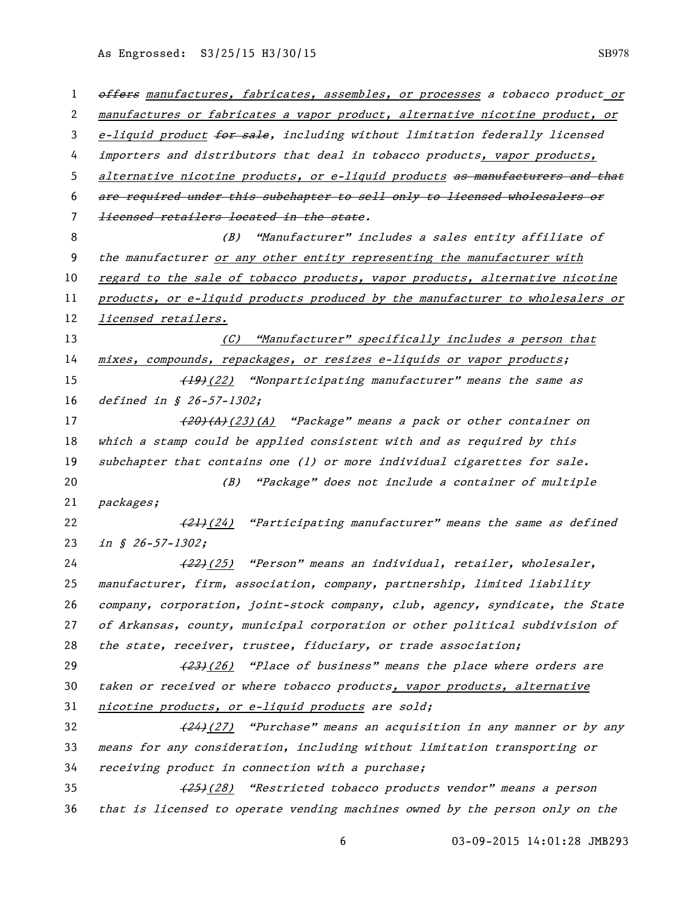1 offers manufactures, fabricates, assembles, or processes a tobacco product or manufactures or fabricates a vapor product, alternative nicotine product, or 3 e-liquid product for sale, including without limitation federally licensed importers and distributors that deal in tobacco products, vapor products, 5 alternative nicotine products, or e-liquid products as manufacturers and that are required under this subchapter to sell only to licensed wholesalers or licensed retailers located in the state. (B) "Manufacturer" includes a sales entity affiliate of the manufacturer or any other entity representing the manufacturer with 10 regard to the sale of tobacco products, vapor products, alternative nicotine products, or e-liquid products produced by the manufacturer to wholesalers or licensed retailers. (C) "Manufacturer" specifically includes a person that 14 mixes, compounds, repackages, or resizes e-liquids or vapor products; 15 (19)(22) "Nonparticipating manufacturer" means the same as *defined in § 26-57-1302*; 17 (<del>20)(A)</del>(23)(A) "Package" means a pack or other container on which a stamp could be applied consistent with and as required by this 19 subchapter that contains one (1) or more individual cigarettes for sale. (B) "Package" does not include a container of multiple packages;  $(21)(24)$  "Participating manufacturer" means the same as defined 23 in § 26-57-1302; 24 (22)(25) "Person" means an individual, retailer, wholesaler, manufacturer, firm, association, company, partnership, limited liability company, corporation, joint-stock company, club, agency, syndicate, the State of Arkansas, county, municipal corporation or other political subdivision of the state, receiver, trustee, fiduciary, or trade association;  $(23)(26)$  "Place of business" means the place where orders are 30 taken or received or where tobacco products, vapor products, alternative nicotine products, or e-liquid products are sold;  $(24)(27)$  "Purchase" means an acquisition in any manner or by any means for any consideration, including without limitation transporting or receiving product in connection with a purchase; 35 (25)(28) "Restricted tobacco products vendor" means a person that is licensed to operate vending machines owned by the person only on the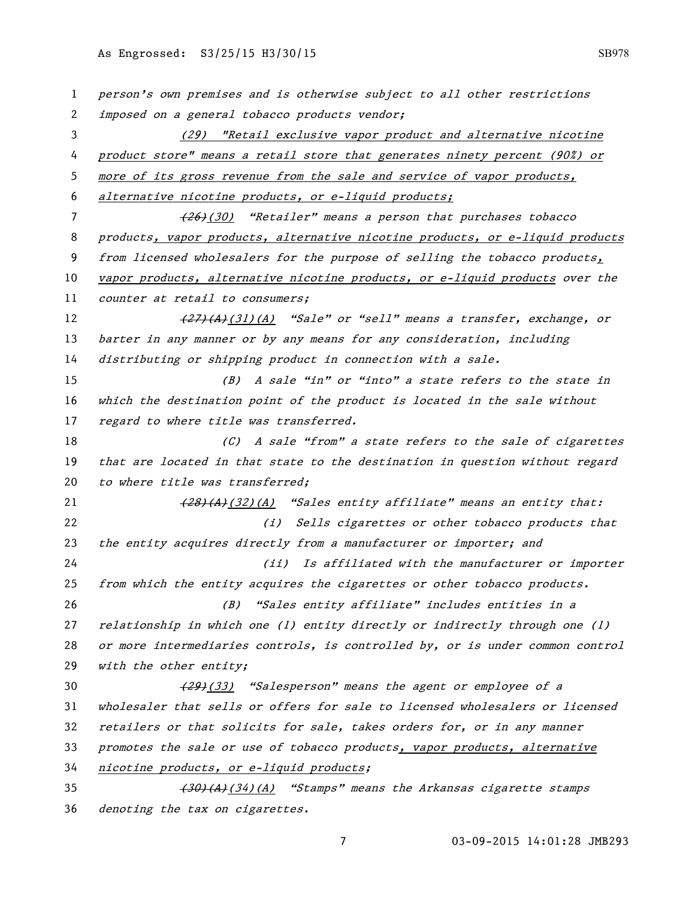| 1  | person's own premises and is otherwise subject to all other restrictions      |
|----|-------------------------------------------------------------------------------|
| 2  | imposed on a general tobacco products vendor;                                 |
| 3  | (29) "Retail exclusive vapor product and alternative nicotine                 |
| 4  | product store" means a retail store that generates ninety percent (90%) or    |
| 5  | more of its gross revenue from the sale and service of vapor products,        |
| 6  | alternative nicotine products, or e-liquid products;                          |
| 7  | (30) "Retailer" means a person that purchases tobacco                         |
| 8  | products, vapor products, alternative nicotine products, or e-liquid products |
| 9  | from licensed wholesalers for the purpose of selling the tobacco products,    |
| 10 | vapor products, alternative nicotine products, or e-liquid products over the  |
| 11 | counter at retail to consumers;                                               |
| 12 | $\frac{27}{27}(A)(31)(A)$ "Sale" or "sell" means a transfer, exchange, or     |
| 13 | barter in any manner or by any means for any consideration, including         |
| 14 | distributing or shipping product in connection with a sale.                   |
| 15 | (B) A sale "in" or "into" a state refers to the state in                      |
| 16 | which the destination point of the product is located in the sale without     |
| 17 | regard to where title was transferred.                                        |
| 18 | (C) A sale "from" a state refers to the sale of cigarettes                    |
| 19 | that are located in that state to the destination in question without regard  |
| 20 | to where title was transferred;                                               |
| 21 | (28)(A)(32)(A) "Sales entity affiliate" means an entity that:                 |
| 22 | (i) Sells cigarettes or other tobacco products that                           |
| 23 | the entity acquires directly from a manufacturer or importer; and             |
| 24 | (ii) Is affiliated with the manufacturer or importer                          |
| 25 | from which the entity acquires the cigarettes or other tobacco products.      |
| 26 | "Sales entity affiliate" includes entities in a<br>(B)                        |
| 27 | relationship in which one (1) entity directly or indirectly through one (1)   |
| 28 | or more intermediaries controls, is controlled by, or is under common control |
| 29 | with the other entity;                                                        |
| 30 | (29) (33) "Salesperson" means the agent or employee of a                      |
| 31 | wholesaler that sells or offers for sale to licensed wholesalers or licensed  |
| 32 | retailers or that solicits for sale, takes orders for, or in any manner       |
| 33 | promotes the sale or use of tobacco products, vapor products, alternative     |
| 34 | nicotine products, or e-liquid products;                                      |
| 35 | (30)(A)(34)(A) "Stamps" means the Arkansas cigarette stamps                   |
| 36 | denoting the tax on cigarettes.                                               |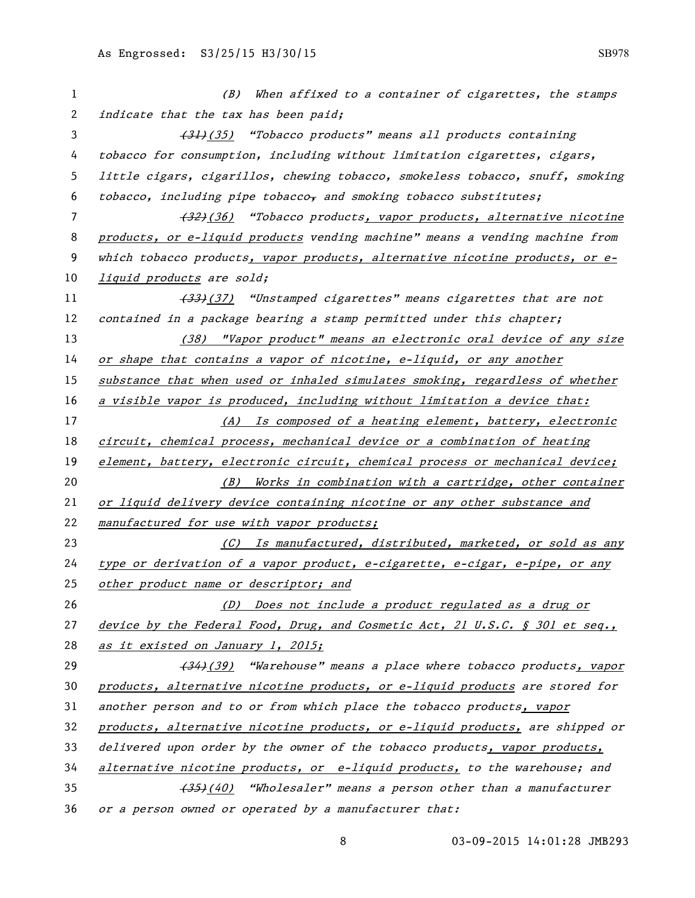| 1  | When affixed to a container of cigarettes, the stamps<br>(B)                  |
|----|-------------------------------------------------------------------------------|
| 2  | indicate that the tax has been paid;                                          |
| 3  | (31) (35) "Tobacco products" means all products containing                    |
| 4  | tobacco for consumption, including without limitation cigarettes, cigars,     |
| 5  | little cigars, cigarillos, chewing tobacco, smokeless tobacco, snuff, smoking |
| 6  | tobacco, including pipe tobacco, and smoking tobacco substitutes;             |
| 7  | (32) (36) "Tobacco products, vapor products, alternative nicotine             |
| 8  | products, or e-liquid products vending machine" means a vending machine from  |
| 9  | which tobacco products, vapor products, alternative nicotine products, or e-  |
| 10 | liquid products are sold;                                                     |
| 11 | (33) (37) "Unstamped cigarettes" means cigarettes that are not                |
| 12 | contained in a package bearing a stamp permitted under this chapter;          |
| 13 | (38) "Vapor product" means an electronic oral device of any size              |
| 14 | or shape that contains a vapor of nicotine, e-liquid, or any another          |
| 15 | substance that when used or inhaled simulates smoking, regardless of whether  |
| 16 | a visible vapor is produced, including without limitation a device that:      |
| 17 | (A) Is composed of a heating element, battery, electronic                     |
| 18 | circuit, chemical process, mechanical device or a combination of heating      |
| 19 | element, battery, electronic circuit, chemical process or mechanical device;  |
| 20 | (B) Works in combination with a cartridge, other container                    |
| 21 | or liquid delivery device containing nicotine or any other substance and      |
| 22 | manufactured for use with vapor products;                                     |
| 23 | (C) Is manufactured, distributed, marketed, or sold as any                    |
| 24 | type or derivation of a vapor product, e-cigarette, e-cigar, e-pipe, or any   |
| 25 | other product name or descriptor; and                                         |
| 26 | (D) Does not include a product regulated as a drug or                         |
| 27 | device by the Federal Food, Drug, and Cosmetic Act, 21 U.S.C. § 301 et seq.,  |
| 28 | as it existed on January 1, 2015;                                             |
| 29 | (34) (39) "Warehouse" means a place where tobacco products, vapor             |
| 30 | products, alternative nicotine products, or e-liquid products are stored for  |
| 31 | another person and to or from which place the tobacco products, vapor         |
| 32 | products, alternative nicotine products, or e-liquid products, are shipped or |
| 33 | delivered upon order by the owner of the tobacco products, vapor products,    |
| 34 | alternative nicotine products, or e-liquid products, to the warehouse; and    |
| 35 | (40) "Wholesaler" means a person other than a manufacturer                    |
| 36 | or a person owned or operated by a manufacturer that:                         |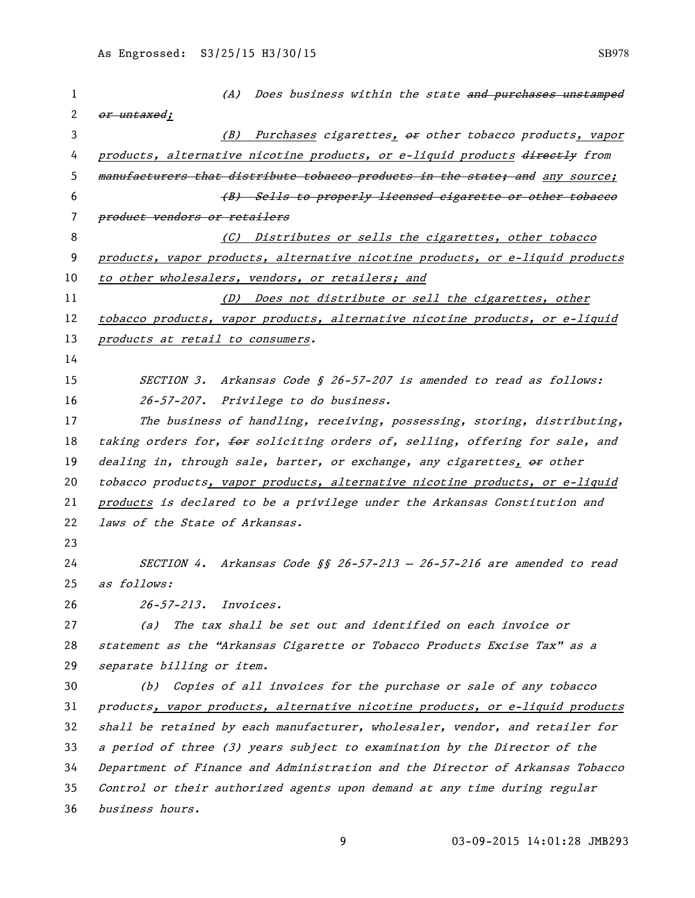| 1  | (A) Does business within the state and purchases unstamped                    |
|----|-------------------------------------------------------------------------------|
| 2  | or untaxed;                                                                   |
| 3  | (B) Purchases cigarettes, or other tobacco products, vapor                    |
| 4  | products, alternative nicotine products, or e-liquid products directly from   |
| 5  | manufacturers that distribute tobacco products in the state; and any source;  |
| 6  | (B) Sells to properly licensed cigarette or other tobaceo                     |
| 7  | product vendors or retailers                                                  |
| 8  | (C) Distributes or sells the cigarettes, other tobacco                        |
| 9  | products, vapor products, alternative nicotine products, or e-liquid products |
| 10 | to other wholesalers, vendors, or retailers; and                              |
| 11 | (D) Does not distribute or sell the cigarettes, other                         |
| 12 | tobacco products, vapor products, alternative nicotine products, or e-liquid  |
| 13 | products at retail to consumers.                                              |
| 14 |                                                                               |
| 15 | SECTION 3. Arkansas Code § 26-57-207 is amended to read as follows:           |
| 16 | 26-57-207. Privilege to do business.                                          |
| 17 | The business of handling, receiving, possessing, storing, distributing,       |
| 18 | taking orders for, for soliciting orders of, selling, offering for sale, and  |
| 19 | dealing in, through sale, barter, or exchange, any cigarettes, or other       |
| 20 | tobacco products, vapor products, alternative nicotine products, or e-liquid  |
| 21 | products is declared to be a privilege under the Arkansas Constitution and    |
| 22 | laws of the State of Arkansas.                                                |
| 23 |                                                                               |
| 24 | SECTION 4. Arkansas Code §§ 26-57-213 - 26-57-216 are amended to read         |
| 25 | as follows:                                                                   |
| 26 | 26-57-213. Invoices.                                                          |
| 27 | The tax shall be set out and identified on each invoice or<br>(a)             |
| 28 | statement as the "Arkansas Cigarette or Tobacco Products Excise Tax" as a     |
| 29 | separate billing or item.                                                     |
| 30 | (b) Copies of all invoices for the purchase or sale of any tobacco            |
| 31 | products, vapor products, alternative nicotine products, or e-liquid products |
| 32 | shall be retained by each manufacturer, wholesaler, vendor, and retailer for  |
| 33 | a period of three (3) years subject to examination by the Director of the     |
| 34 | Department of Finance and Administration and the Director of Arkansas Tobacco |
| 35 | Control or their authorized agents upon demand at any time during regular     |
| 36 | business hours.                                                               |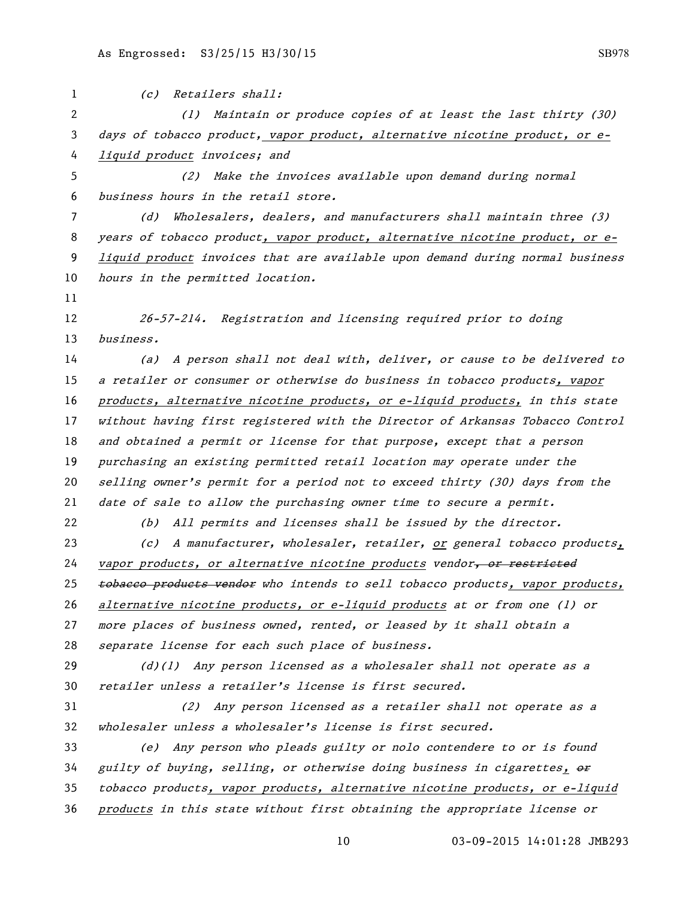(c) Retailers shall: (1) Maintain or produce copies of at least the last thirty (30) days of tobacco product, vapor product, alternative nicotine product, or e- liquid product invoices; and (2) Make the invoices available upon demand during normal business hours in the retail store. (d) Wholesalers, dealers, and manufacturers shall maintain three (3) 8 years of tobacco product, vapor product, alternative nicotine product, or e- liquid product invoices that are available upon demand during normal business 10 hours in the permitted location. 26-57-214. Registration and licensing required prior to doing business. (a) A person shall not deal with, deliver, or cause to be delivered to a retailer or consumer or otherwise do business in tobacco products, vapor products, alternative nicotine products, or e-liquid products, in this state without having first registered with the Director of Arkansas Tobacco Control 18 and obtained a permit or license for that purpose, except that a person purchasing an existing permitted retail location may operate under the selling owner's permit for a period not to exceed thirty (30) days from the date of sale to allow the purchasing owner time to secure a permit. (b) All permits and licenses shall be issued by the director. (c) A manufacturer, wholesaler, retailer, or general tobacco products, 24 vapor products, or alternative nicotine products vendor, or restricted 25 tobacco products vendor who intends to sell tobacco products, vapor products, 26 alternative nicotine products, or e-liquid products at or from one (1) or more places of business owned, rented, or leased by it shall obtain a separate license for each such place of business.  $(d)(1)$  Any person licensed as a wholesaler shall not operate as a retailer unless a retailer's license is first secured. (2) Any person licensed as a retailer shall not operate as a wholesaler unless a wholesaler's license is first secured. (e) Any person who pleads guilty or nolo contendere to or is found guilty of buying, selling, or otherwise doing business in cigarettes,  $\theta$  tobacco products, vapor products, alternative nicotine products, or e-liquid products in this state without first obtaining the appropriate license or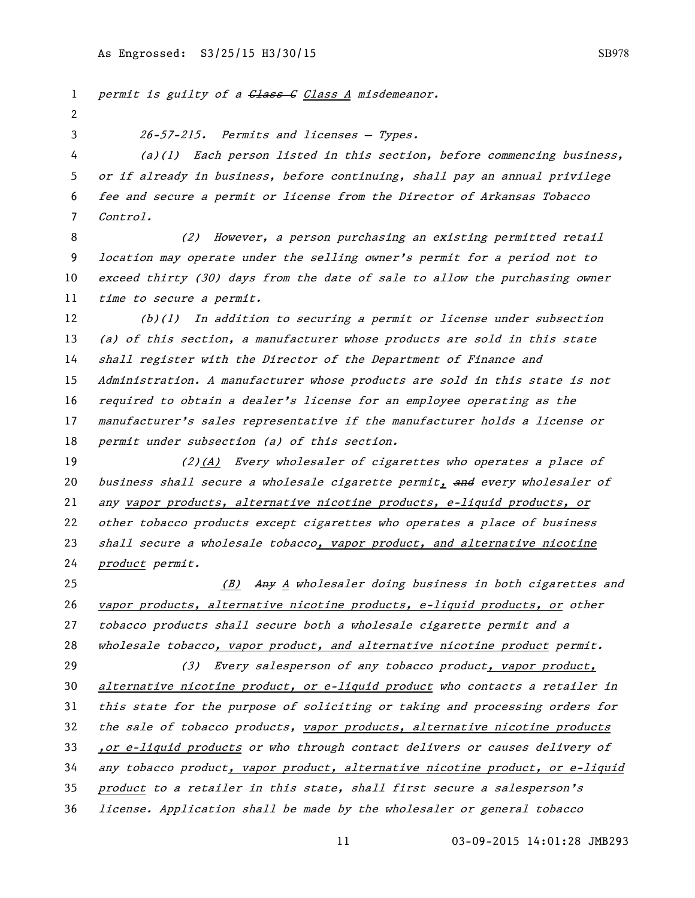1 permit is guilty of a Class G Class A misdemeanor. 26-57-215. Permits and licenses — Types. (a)(1) Each person listed in this section, before commencing business, or if already in business, before continuing, shall pay an annual privilege fee and secure a permit or license from the Director of Arkansas Tobacco Control. (2) However, a person purchasing an existing permitted retail location may operate under the selling owner's permit for a period not to exceed thirty (30) days from the date of sale to allow the purchasing owner time to secure a permit. (b)(1) In addition to securing a permit or license under subsection (a) of this section, a manufacturer whose products are sold in this state shall register with the Director of the Department of Finance and Administration. A manufacturer whose products are sold in this state is not required to obtain a dealer's license for an employee operating as the manufacturer's sales representative if the manufacturer holds a license or permit under subsection (a) of this section. 19 (2)(A) Every wholesaler of cigarettes who operates a place of 20 business shall secure a wholesale cigarette permit, and every wholesaler of any vapor products, alternative nicotine products, e-liquid products, or other tobacco products except cigarettes who operates a place of business shall secure a wholesale tobacco, vapor product, and alternative nicotine product permit. 25 (B) Any A wholesaler doing business in both cigarettes and 26 vapor products, alternative nicotine products, e-liquid products, or other tobacco products shall secure both a wholesale cigarette permit and a wholesale tobacco, vapor product, and alternative nicotine product permit. 29 (3) Every salesperson of any tobacco product, vapor product, 30 alternative nicotine product, or e-liquid product who contacts a retailer in this state for the purpose of soliciting or taking and processing orders for 32 the sale of tobacco products, vapor products, alternative nicotine products ,or e-liquid products or who through contact delivers or causes delivery of any tobacco product, vapor product, alternative nicotine product, or e-liquid product to a retailer in this state, shall first secure a salesperson's license. Application shall be made by the wholesaler or general tobacco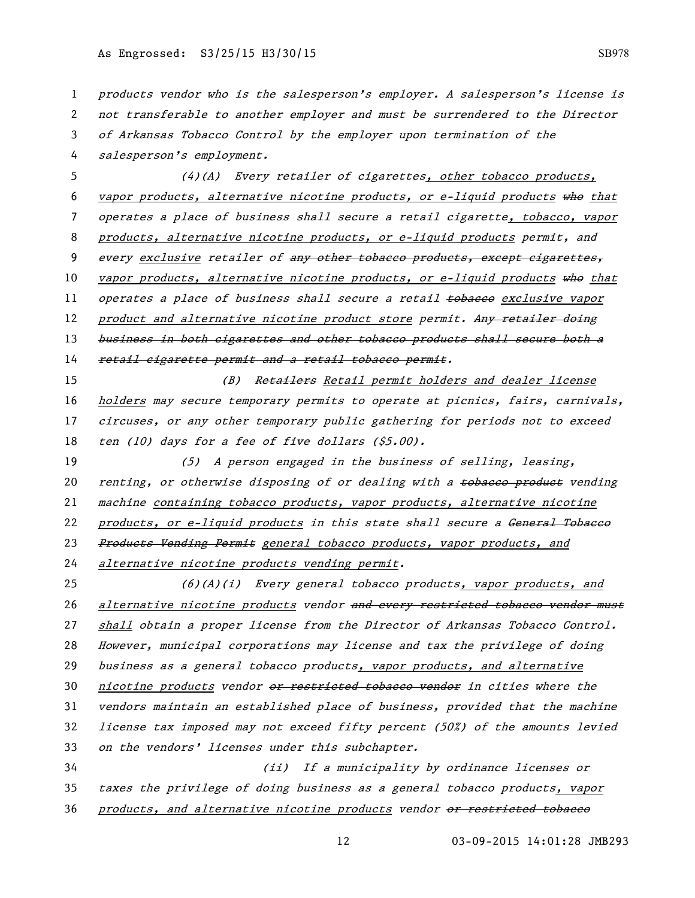1 products vendor who is the salesperson's employer. A salesperson's license is 2 not transferable to another employer and must be surrendered to the Director 3 of Arkansas Tobacco Control by the employer upon termination of the 4 salesperson's employment. 5 (4)(A) Every retailer of cigarettes, other tobacco products, 6 vapor products, alternative nicotine products, or e-liquid products who that 7 operates a place of business shall secure a retail cigarette, tobacco, vapor 8 products, alternative nicotine products, or e-liquid products permit, and 9 every exclusive retailer of any other tobacco products, except cigarettes, 10 vapor products, alternative nicotine products, or e-liquid products who that 11 operates a place of business shall secure a retail tobacco exclusive vapor 12 product and alternative nicotine product store permit. Any retailer doing 13 business in both cigarettes and other tobacco products shall secure both a 14 retail cigarette permit and a retail tobacco permit. 15 (B) Retailers Retail permit holders and dealer license 16 holders may secure temporary permits to operate at picnics, fairs, carnivals, 17 circuses, or any other temporary public gathering for periods not to exceed 18 ten (10) days for a fee of five dollars (\$5.00). 19 (5) A person engaged in the business of selling, leasing, 20 renting, or otherwise disposing of or dealing with a <del>tobacco product</del> vending 21 machine containing tobacco products, vapor products, alternative nicotine 22 products, or e-liquid products in this state shall secure a General Tobaceo 23 Products Vending Permit general tobacco products, vapor products, and 24 alternative nicotine products vending permit. 25 (6)(A)(i) Every general tobacco products, vapor products, and 26 alternative nicotine products vendor and every restricted tobacco vendor must 27 shall obtain a proper license from the Director of Arkansas Tobacco Control. 28 However, municipal corporations may license and tax the privilege of doing 29 business as a general tobacco products, vapor products, and alternative 30 nicotine products vendor or restricted tobacco vendor in cities where the 31 vendors maintain an established place of business, provided that the machine 32 license tax imposed may not exceed fifty percent (50%) of the amounts levied 33 on the vendors' licenses under this subchapter. 34 (ii) If a municipality by ordinance licenses or 35 taxes the privilege of doing business as a general tobacco products, vapor 36 products, and alternative nicotine products vendor or restricted tobacco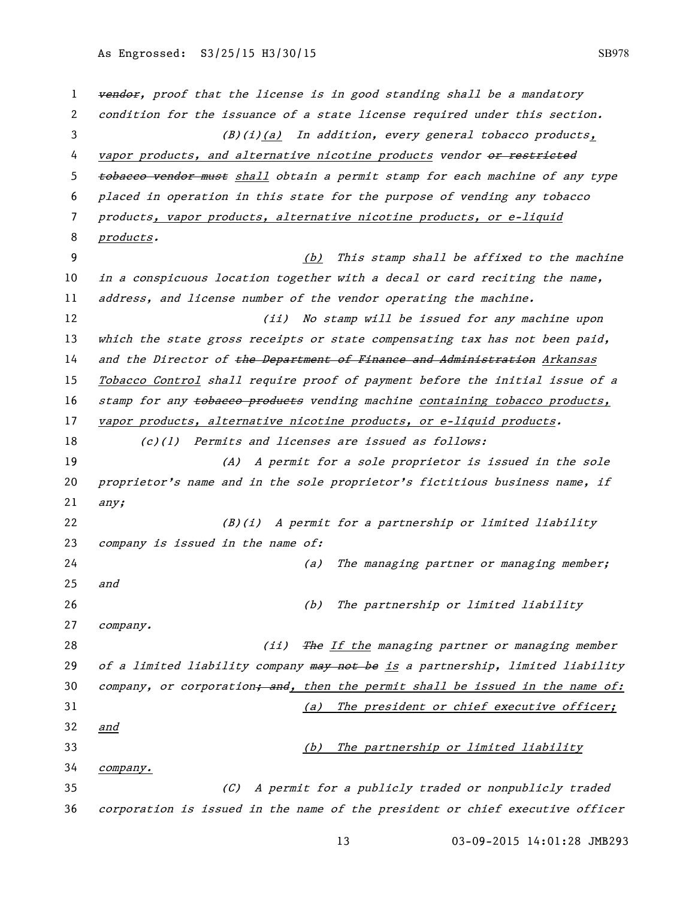1 vendor, proof that the license is in good standing shall be a mandatory 2 condition for the issuance of a state license required under this section. 3 (B)(i)(a) In addition, every general tobacco products, 4 vapor products, and alternative nicotine products vendor or restricted 5 tobacco vendor must shall obtain a permit stamp for each machine of any type 6 placed in operation in this state for the purpose of vending any tobacco 7 products, vapor products, alternative nicotine products, or e-liquid 8 products. 9 (b) This stamp shall be affixed to the machine 10 in a conspicuous location together with a decal or card reciting the name, 11 address, and license number of the vendor operating the machine. 12 (ii) No stamp will be issued for any machine upon 13 which the state gross receipts or state compensating tax has not been paid, 14 and the Director of the Department of Finance and Administration Arkansas 15 Tobacco Control shall require proof of payment before the initial issue of a 16 stamp for any tobacco products vending machine containing tobacco products, 17 vapor products, alternative nicotine products, or e-liquid products. 18 (c)(1) Permits and licenses are issued as follows: 19 (A) A permit for a sole proprietor is issued in the sole 20 proprietor's name and in the sole proprietor's fictitious business name, if  $21$  any; 22 (B)(i) A permit for a partnership or limited liability 23 company is issued in the name of: 24 (a) The managing partner or managing member; 25 and 26 (b) The partnership or limited liability 27 company. 28 (ii) The If the managing partner or managing member 29 of a limited liability company may not be is a partnership, limited liability 30 company, or corporation; and, then the permit shall be issued in the name of: 31 (a) The president or chief executive officer; 32 and 33 (b) The partnership or limited liability 34 company. 35 (C) A permit for a publicly traded or nonpublicly traded 36 corporation is issued in the name of the president or chief executive officer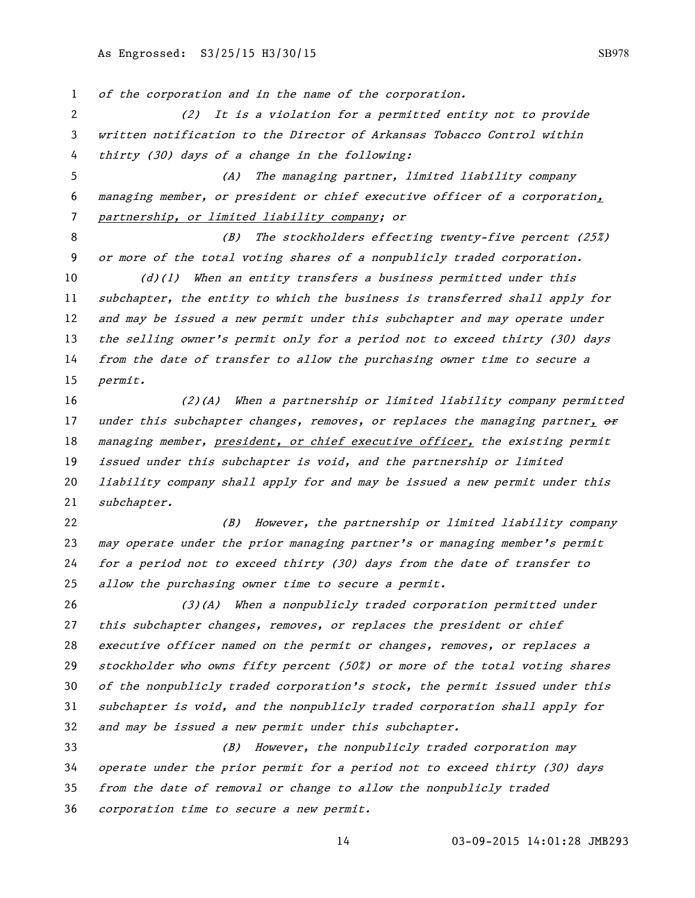of the corporation and in the name of the corporation.

 (2) It is a violation for a permitted entity not to provide written notification to the Director of Arkansas Tobacco Control within thirty (30) days of a change in the following:

 (A) The managing partner, limited liability company managing member, or president or chief executive officer of a corporation, partnership, or limited liability company; or

8 (B) The stockholders effecting twenty-five percent (25%) or more of the total voting shares of a nonpublicly traded corporation.

10 (d)(1) When an entity transfers a business permitted under this subchapter, the entity to which the business is transferred shall apply for and may be issued a new permit under this subchapter and may operate under 13 the selling owner's permit only for a period not to exceed thirty (30) days from the date of transfer to allow the purchasing owner time to secure a permit.

 (2)(A) When a partnership or limited liability company permitted 17 under this subchapter changes, removes, or replaces the managing partner,  $\theta$ 18 managing member, president, or chief executive officer, the existing permit issued under this subchapter is void, and the partnership or limited liability company shall apply for and may be issued a new permit under this subchapter.

 (B) However, the partnership or limited liability company 23 may operate under the prior managing partner's or managing member's permit for a period not to exceed thirty (30) days from the date of transfer to allow the purchasing owner time to secure a permit.

 (3)(A) When a nonpublicly traded corporation permitted under 27 this subchapter changes, removes, or replaces the president or chief executive officer named on the permit or changes, removes, or replaces a stockholder who owns fifty percent (50%) or more of the total voting shares of the nonpublicly traded corporation's stock, the permit issued under this subchapter is void, and the nonpublicly traded corporation shall apply for and may be issued a new permit under this subchapter.

 (B) However, the nonpublicly traded corporation may operate under the prior permit for a period not to exceed thirty (30) days from the date of removal or change to allow the nonpublicly traded corporation time to secure a new permit.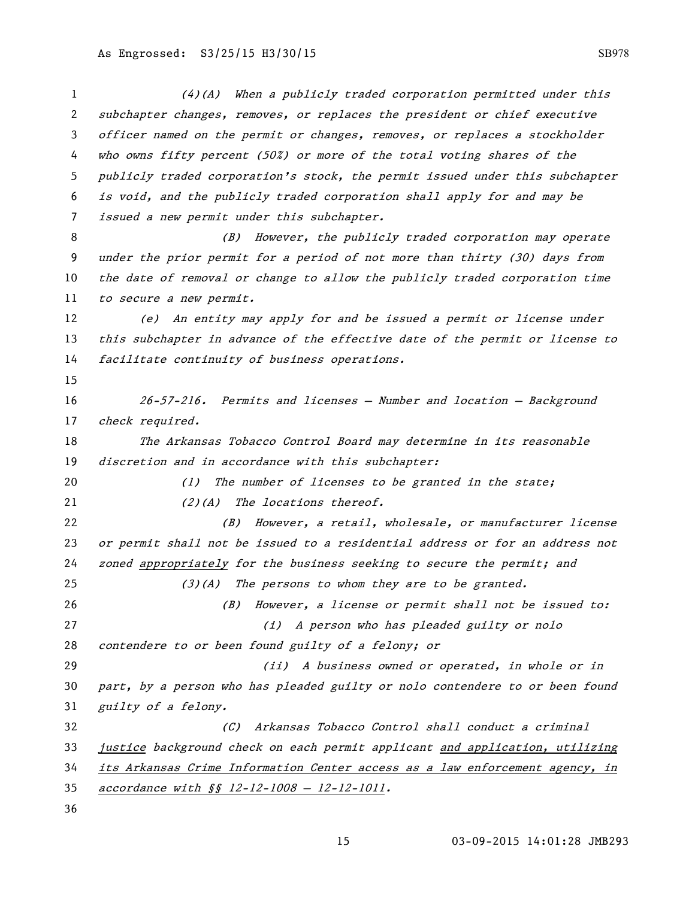(4)(A) When a publicly traded corporation permitted under this subchapter changes, removes, or replaces the president or chief executive officer named on the permit or changes, removes, or replaces a stockholder who owns fifty percent (50%) or more of the total voting shares of the publicly traded corporation's stock, the permit issued under this subchapter is void, and the publicly traded corporation shall apply for and may be issued a new permit under this subchapter. 8 (B) However, the publicly traded corporation may operate under the prior permit for a period of not more than thirty (30) days from the date of removal or change to allow the publicly traded corporation time 11 to secure a new permit. (e) An entity may apply for and be issued a permit or license under this subchapter in advance of the effective date of the permit or license to facilitate continuity of business operations. 26-57-216. Permits and licenses — Number and location — Background 17 check required. The Arkansas Tobacco Control Board may determine in its reasonable discretion and in accordance with this subchapter: 20 (1) The number of licenses to be granted in the state; 21 (2)(A) The locations thereof. (B) However, a retail, wholesale, or manufacturer license or permit shall not be issued to a residential address or for an address not zoned appropriately for the business seeking to secure the permit; and 25 (3)(A) The persons to whom they are to be granted. (B) However, a license or permit shall not be issued to: (i) A person who has pleaded guilty or nolo contendere to or been found guilty of a felony; or (ii) A business owned or operated, in whole or in part, by a person who has pleaded guilty or nolo contendere to or been found guilty of a felony. (C) Arkansas Tobacco Control shall conduct a criminal justice background check on each permit applicant and application, utilizing its Arkansas Crime Information Center access as a law enforcement agency, in accordance with §§ 12-12-1008 — 12-12-1011.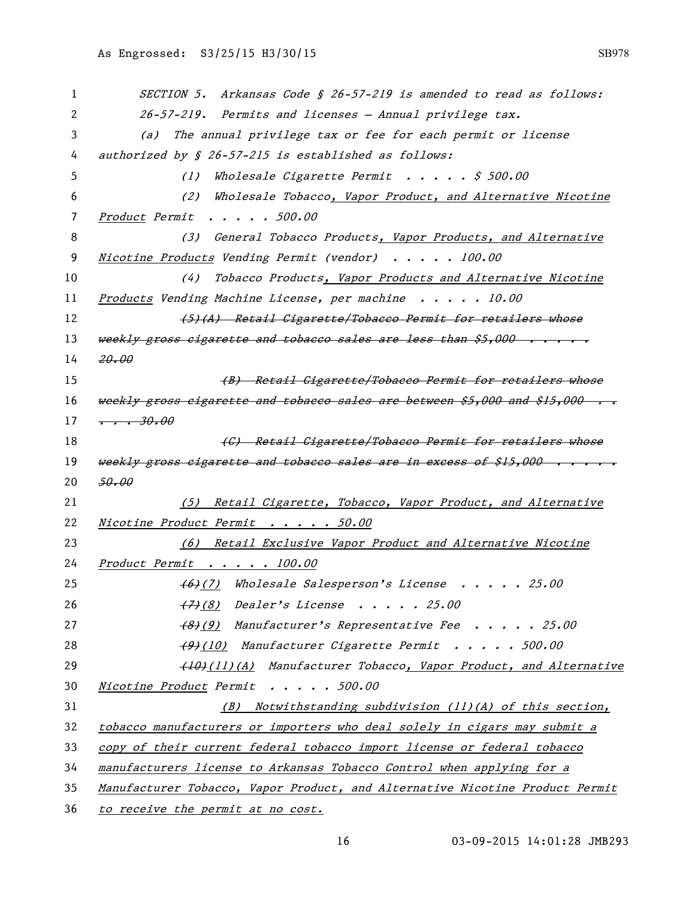| 1  | SECTION 5. Arkansas Code § 26-57-219 is amended to read as follows:          |
|----|------------------------------------------------------------------------------|
| 2  | 26-57-219. Permits and licenses - Annual privilege tax.                      |
| 3  | The annual privilege tax or fee for each permit or license<br>(a)            |
| 4  | authorized by § 26-57-215 is established as follows:                         |
| 5  | Wholesale Cigarette Permit $\ldots$ , $\lessgtr$ 500.00<br>(1)               |
| 6  | Wholesale Tobacco, Vapor Product, and Alternative Nicotine<br>(2)            |
| 7  | Product Permit 500.00                                                        |
| 8  | (3) General Tobacco Products, Vapor Products, and Alternative                |
| 9  | Nicotine Products Vending Permit (vendor) 100.00                             |
| 10 | Tobacco Products, Vapor Products and Alternative Nicotine<br>(4)             |
| 11 | Products Vending Machine License, per machine 10.00                          |
| 12 | (5)(A) Retail Cigarette/Tobacco Permit for retailers whose                   |
| 13 | weekly gross eigarette and tobacco sales are less than \$5,000               |
| 14 | 20.00                                                                        |
| 15 | (B) Retail Cigarette/Tobacco Permit for retailers whose                      |
| 16 | weekly gross cigarette and tobacco sales are between \$5,000 and \$15,000    |
| 17 | $\frac{1}{1}$ . 30.00                                                        |
| 18 | (C) Retail Cigarette/Tobacco Permit for retailers whose                      |
| 19 | weekly gross cigarette and tobacco sales are in excess of \$15,000           |
| 20 | 50.00                                                                        |
| 21 | (5) Retail Cigarette, Tobacco, Vapor Product, and Alternative                |
| 22 | Nicotine Product Permit 50.00                                                |
| 23 | (6) Retail Exclusive Vapor Product and Alternative Nicotine                  |
| 24 | Product Permit 100.00                                                        |
| 25 | (6)(7) Wholesale Salesperson's License 25.00                                 |
| 26 | (7)(8) Dealer's License 25.00                                                |
| 27 | (8)(9) Manufacturer's Representative Fee 25.00                               |
| 28 | (9)(10) Manufacturer Cigarette Permit 500.00                                 |
| 29 | (10)(11)(A) Manufacturer Tobacco, Vapor Product, and Alternative             |
| 30 | Nicotine Product Permit 500.00                                               |
| 31 | $(B)$ Notwithstanding subdivision (11)(A) of this section,                   |
| 32 | tobacco manufacturers or importers who deal solely in cigars may submit a    |
| 33 | copy of their current federal tobacco import license or federal tobacco      |
| 34 | manufacturers license to Arkansas Tobacco Control when applying for a        |
| 35 | Manufacturer Tobacco, Vapor Product, and Alternative Nicotine Product Permit |
| 36 | to receive the permit at no cost.                                            |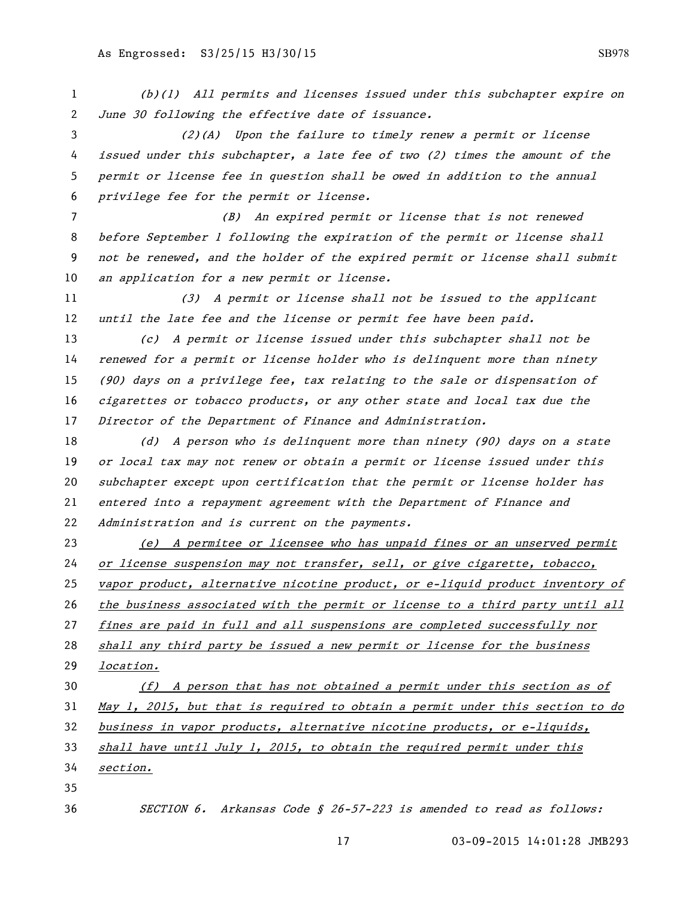(b)(1) All permits and licenses issued under this subchapter expire on June 30 following the effective date of issuance. (2)(A) Upon the failure to timely renew a permit or license issued under this subchapter, a late fee of two (2) times the amount of the permit or license fee in question shall be owed in addition to the annual

privilege fee for the permit or license.

 (B) An expired permit or license that is not renewed before September 1 following the expiration of the permit or license shall not be renewed, and the holder of the expired permit or license shall submit an application for a new permit or license.

 (3) A permit or license shall not be issued to the applicant 12 until the late fee and the license or permit fee have been paid.

 (c) A permit or license issued under this subchapter shall not be renewed for a permit or license holder who is delinquent more than ninety (90) days on a privilege fee, tax relating to the sale or dispensation of cigarettes or tobacco products, or any other state and local tax due the Director of the Department of Finance and Administration.

18 (d) A person who is delinquent more than ninety (90) days on a state or local tax may not renew or obtain a permit or license issued under this subchapter except upon certification that the permit or license holder has entered into a repayment agreement with the Department of Finance and Administration and is current on the payments.

 (e) A permitee or licensee who has unpaid fines or an unserved permit or license suspension may not transfer, sell, or give cigarette, tobacco, vapor product, alternative nicotine product, or e-liquid product inventory of the business associated with the permit or license to a third party until all fines are paid in full and all suspensions are completed successfully nor shall any third party be issued a new permit or license for the business location. 30 (f) A person that has not obtained a permit under this section as of May 1, 2015, but that is required to obtain a permit under this section to do business in vapor products, alternative nicotine products, or e-liquids,

shall have until July 1, 2015, to obtain the required permit under this

section.

SECTION 6. Arkansas Code § 26-57-223 is amended to read as follows: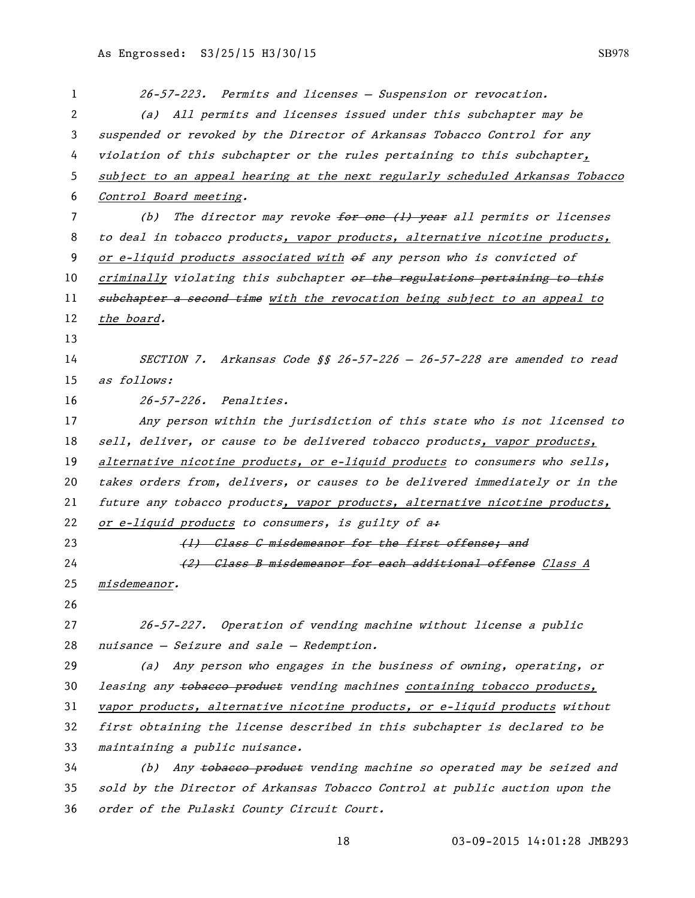| 1                     | 26-57-223. Permits and licenses - Suspension or revocation.                   |
|-----------------------|-------------------------------------------------------------------------------|
| $\mathbf{2}^{\prime}$ | (a) All permits and licenses issued under this subchapter may be              |
| 3                     | suspended or revoked by the Director of Arkansas Tobacco Control for any      |
| 4                     | violation of this subchapter or the rules pertaining to this subchapter,      |
| 5                     | subject to an appeal hearing at the next regularly scheduled Arkansas Tobacco |
| 6                     | Control Board meeting.                                                        |
| 7                     | The director may revoke for one (1) year all permits or licenses<br>(b)       |
| 8                     | to deal in tobacco products, vapor products, alternative nicotine products,   |
| 9                     | or e-liquid products associated with $\theta$ any person who is convicted of  |
| 10                    | criminally violating this subchapter or the regulations pertaining to this    |
| 11                    | subchapter a second time with the revocation being subject to an appeal to    |
| 12                    | the board.                                                                    |
| 13                    |                                                                               |
| 14                    | SECTION 7. Arkansas Code §§ 26-57-226 - 26-57-228 are amended to read         |
| 15                    | as follows:                                                                   |
| 16                    | 26-57-226. Penalties.                                                         |
| 17                    | Any person within the jurisdiction of this state who is not licensed to       |
| 18                    | sell, deliver, or cause to be delivered tobacco products, vapor products,     |
| 19                    | alternative nicotine products, or e-liquid products to consumers who sells,   |
| 20                    | takes orders from, delivers, or causes to be delivered immediately or in the  |
| 21                    | future any tobacco products, vapor products, alternative nicotine products,   |
| 22                    | or e-liquid products to consumers, is guilty of a+                            |
| 23                    | (1) Class C misdemeanor for the first offense; and                            |
| 24                    | (2) Class B misdemeanor for each additional offense Class A                   |
| 25                    | misdemeanor.                                                                  |
| 26                    |                                                                               |
| 27                    | 26-57-227. Operation of vending machine without license a public              |
| 28                    | nuisance - Seizure and sale - Redemption.                                     |
| 29                    | (a) Any person who engages in the business of owning, operating, or           |
| 30                    | leasing any tobaceo product vending machines containing tobacco products,     |
| 31                    | vapor products, alternative nicotine products, or e-liquid products without   |
| 32                    | first obtaining the license described in this subchapter is declared to be    |
| 33                    | maintaining a public nuisance.                                                |
| 34                    | (b) Any tobacco product vending machine so operated may be seized and         |
| 35                    | sold by the Director of Arkansas Tobacco Control at public auction upon the   |
| 36                    | order of the Pulaski County Circuit Court.                                    |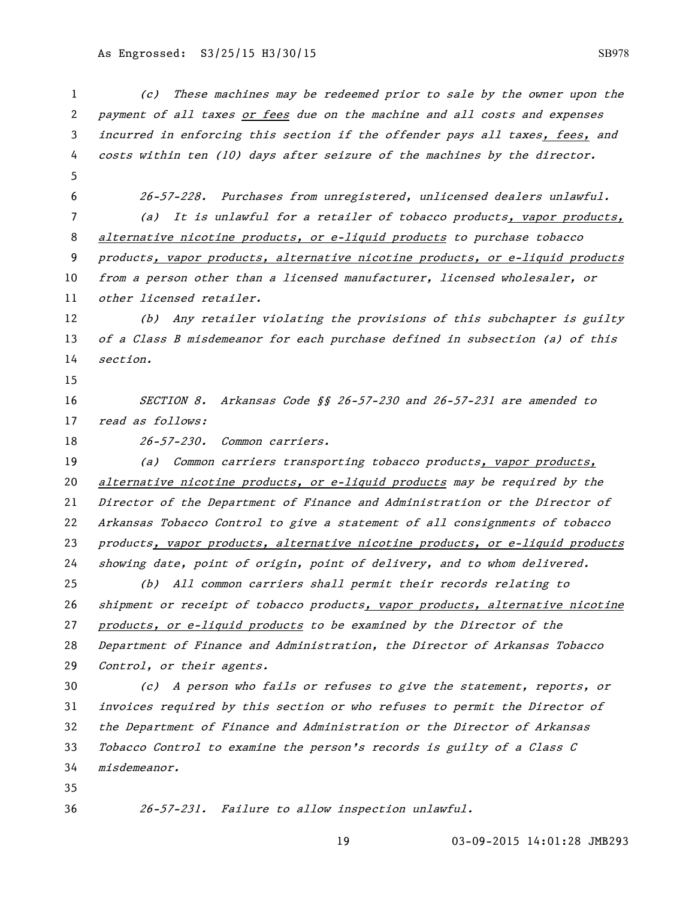(c) These machines may be redeemed prior to sale by the owner upon the payment of all taxes or fees due on the machine and all costs and expenses incurred in enforcing this section if the offender pays all taxes, fees, and costs within ten (10) days after seizure of the machines by the director. 26-57-228. Purchases from unregistered, unlicensed dealers unlawful. (a) It is unlawful for a retailer of tobacco products, vapor products, 8 alternative nicotine products, or e-liquid products to purchase tobacco products, vapor products, alternative nicotine products, or e-liquid products from a person other than a licensed manufacturer, licensed wholesaler, or other licensed retailer. (b) Any retailer violating the provisions of this subchapter is guilty of a Class B misdemeanor for each purchase defined in subsection (a) of this section. SECTION 8. Arkansas Code §§ 26-57-230 and 26-57-231 are amended to 17 read as follows: 26-57-230. Common carriers. 19 (a) Common carriers transporting tobacco products, vapor products, alternative nicotine products, or e-liquid products may be required by the Director of the Department of Finance and Administration or the Director of Arkansas Tobacco Control to give a statement of all consignments of tobacco products, vapor products, alternative nicotine products, or e-liquid products showing date, point of origin, point of delivery, and to whom delivered. (b) All common carriers shall permit their records relating to 26 shipment or receipt of tobacco products, vapor products, alternative nicotine products, or e-liquid products to be examined by the Director of the Department of Finance and Administration, the Director of Arkansas Tobacco Control, or their agents. (c) A person who fails or refuses to give the statement, reports, or invoices required by this section or who refuses to permit the Director of the Department of Finance and Administration or the Director of Arkansas Tobacco Control to examine the person's records is guilty of a Class C misdemeanor. 26-57-231. Failure to allow inspection unlawful.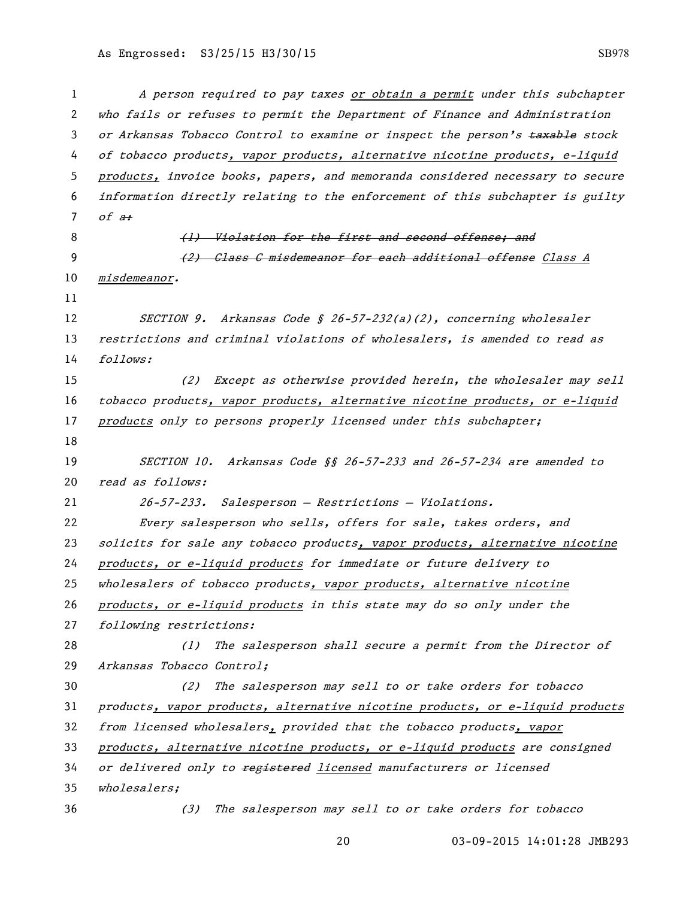A person required to pay taxes or obtain a permit under this subchapter who fails or refuses to permit the Department of Finance and Administration 3 or Arkansas Tobacco Control to examine or inspect the person's taxable stock 4 of tobacco products, vapor products, alternative nicotine products, e-liquid products, invoice books, papers, and memoranda considered necessary to secure information directly relating to the enforcement of this subchapter is guilty 7 of  $a$ : 8 (1) Violation for the first and second offense; and 9 (2) Class C misdemeanor for each additional offense Class A misdemeanor. 12 SECTION 9. Arkansas Code § 26-57-232(a)(2), concerning wholesaler 13 restrictions and criminal violations of wholesalers, is amended to read as follows: (2) Except as otherwise provided herein, the wholesaler may sell tobacco products, vapor products, alternative nicotine products, or e-liquid 17 products only to persons properly licensed under this subchapter; SECTION 10. Arkansas Code §§ 26-57-233 and 26-57-234 are amended to 20 read as follows: 26-57-233. Salesperson — Restrictions — Violations. Every salesperson who sells, offers for sale, takes orders, and solicits for sale any tobacco products, vapor products, alternative nicotine products, or e-liquid products for immediate or future delivery to 25 wholesalers of tobacco products, vapor products, alternative nicotine products, or e-liquid products in this state may do so only under the following restrictions: (1) The salesperson shall secure a permit from the Director of Arkansas Tobacco Control; (2) The salesperson may sell to or take orders for tobacco products, vapor products, alternative nicotine products, or e-liquid products from licensed wholesalers, provided that the tobacco products, vapor products, alternative nicotine products, or e-liquid products are consigned 34 or delivered only to registered licensed manufacturers or licensed wholesalers; (3) The salesperson may sell to or take orders for tobacco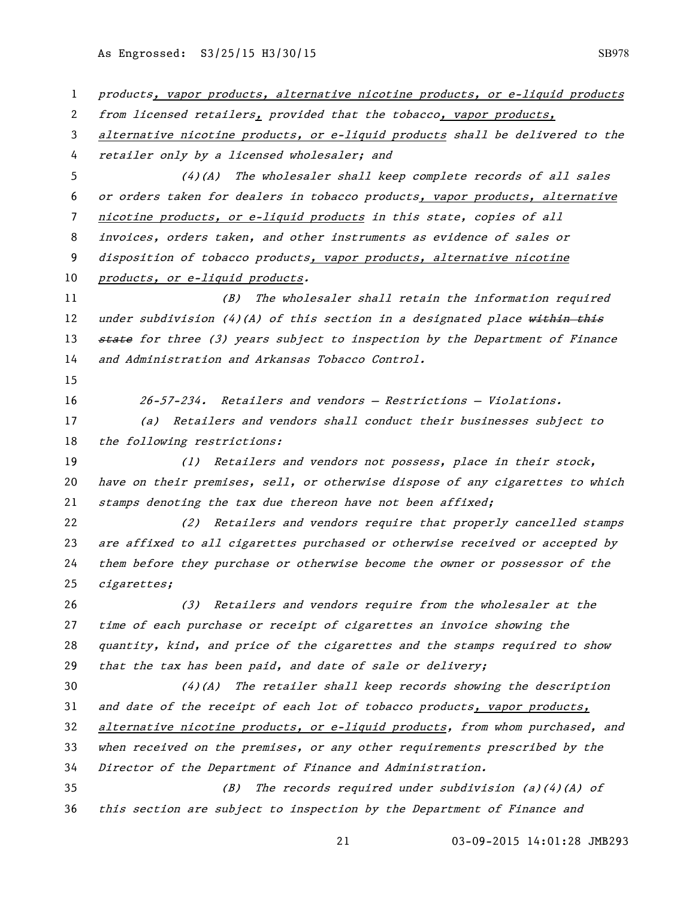products, vapor products, alternative nicotine products, or e-liquid products from licensed retailers, provided that the tobacco, vapor products, 3 alternative nicotine products, or e-liquid products shall be delivered to the retailer only by a licensed wholesaler; and (4)(A) The wholesaler shall keep complete records of all sales or orders taken for dealers in tobacco products, vapor products, alternative nicotine products, or e-liquid products in this state, copies of all invoices, orders taken, and other instruments as evidence of sales or disposition of tobacco products, vapor products, alternative nicotine 10 products, or e-liquid products. (B) The wholesaler shall retain the information required 12 under subdivision (4)(A) of this section in a designated place within this 13 state for three (3) years subject to inspection by the Department of Finance and Administration and Arkansas Tobacco Control. 26-57-234. Retailers and vendors — Restrictions — Violations. (a) Retailers and vendors shall conduct their businesses subject to 18 the following restrictions: 19 (1) Retailers and vendors not possess, place in their stock, have on their premises, sell, or otherwise dispose of any cigarettes to which 21 stamps denoting the tax due thereon have not been affixed; (2) Retailers and vendors require that properly cancelled stamps are affixed to all cigarettes purchased or otherwise received or accepted by them before they purchase or otherwise become the owner or possessor of the cigarettes; (3) Retailers and vendors require from the wholesaler at the time of each purchase or receipt of cigarettes an invoice showing the quantity, kind, and price of the cigarettes and the stamps required to show that the tax has been paid, and date of sale or delivery; (4)(A) The retailer shall keep records showing the description and date of the receipt of each lot of tobacco products, vapor products, alternative nicotine products, or e-liquid products, from whom purchased, and when received on the premises, or any other requirements prescribed by the Director of the Department of Finance and Administration. (B) The records required under subdivision (a)(4)(A) of this section are subject to inspection by the Department of Finance and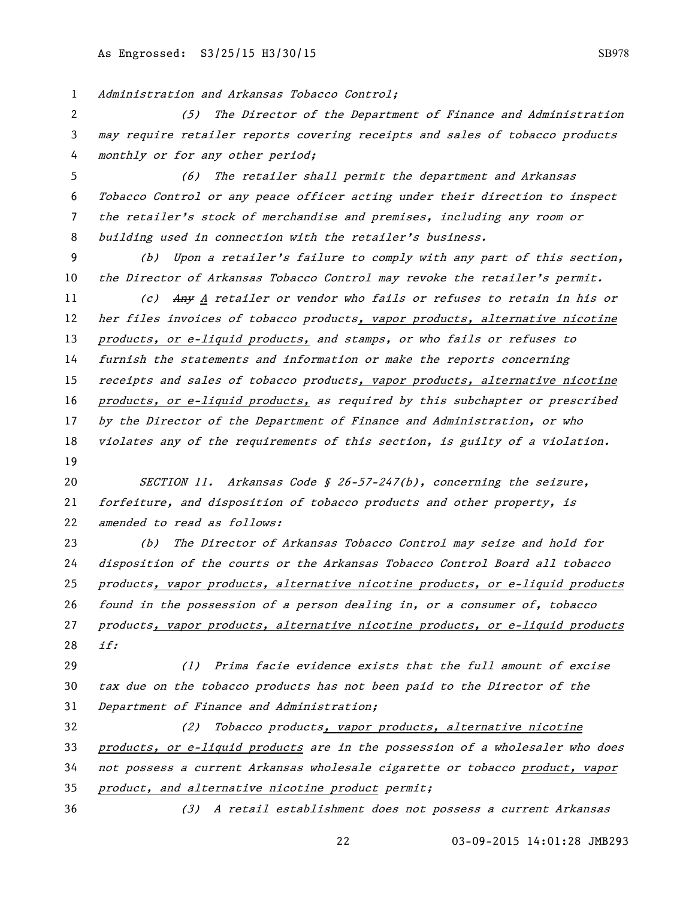Administration and Arkansas Tobacco Control;

 (5) The Director of the Department of Finance and Administration may require retailer reports covering receipts and sales of tobacco products monthly or for any other period;

 (6) The retailer shall permit the department and Arkansas Tobacco Control or any peace officer acting under their direction to inspect the retailer's stock of merchandise and premises, including any room or building used in connection with the retailer's business.

 (b) Upon a retailer's failure to comply with any part of this section, 10 the Director of Arkansas Tobacco Control may revoke the retailer's permit.

11 (c) Any A retailer or vendor who fails or refuses to retain in his or her files invoices of tobacco products, vapor products, alternative nicotine products, or e-liquid products, and stamps, or who fails or refuses to furnish the statements and information or make the reports concerning 15 receipts and sales of tobacco products, vapor products, alternative nicotine products, or e-liquid products, as required by this subchapter or prescribed by the Director of the Department of Finance and Administration, or who violates any of the requirements of this section, is guilty of a violation. 

 SECTION 11. Arkansas Code § 26-57-247(b), concerning the seizure, forfeiture, and disposition of tobacco products and other property, is 22 amended to read as follows:

 (b) The Director of Arkansas Tobacco Control may seize and hold for disposition of the courts or the Arkansas Tobacco Control Board all tobacco products, vapor products, alternative nicotine products, or e-liquid products found in the possession of a person dealing in, or a consumer of, tobacco products, vapor products, alternative nicotine products, or e-liquid products if:

 (1) Prima facie evidence exists that the full amount of excise tax due on the tobacco products has not been paid to the Director of the Department of Finance and Administration;

 (2) Tobacco products, vapor products, alternative nicotine products, or e-liquid products are in the possession of a wholesaler who does not possess a current Arkansas wholesale cigarette or tobacco product, vapor product, and alternative nicotine product permit;

(3) A retail establishment does not possess a current Arkansas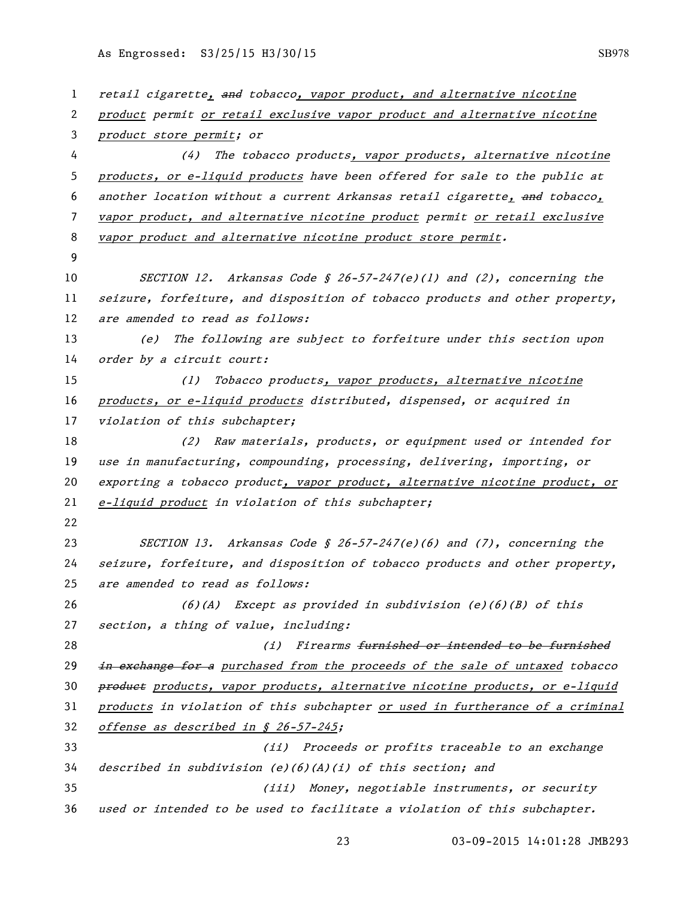| 1  | retail cigarette, and tobacco, vapor product, and alternative nicotine        |
|----|-------------------------------------------------------------------------------|
| 2  | product permit or retail exclusive vapor product and alternative nicotine     |
| 3  | product store permit; or                                                      |
| 4  | (4)<br>The tobacco products, vapor products, alternative nicotine             |
| 5  | products, or e-liquid products have been offered for sale to the public at    |
| 6  | another location without a current Arkansas retail cigarette, and tobacco,    |
| 7  | vapor product, and alternative nicotine product permit or retail exclusive    |
| 8  | vapor product and alternative nicotine product store permit.                  |
| 9  |                                                                               |
| 10 | SECTION 12. Arkansas Code § 26-57-247(e)(1) and (2), concerning the           |
| 11 | seizure, forfeiture, and disposition of tobacco products and other property,  |
| 12 | are amended to read as follows:                                               |
| 13 | The following are subject to forfeiture under this section upon<br>(e)        |
| 14 | order by a circuit court:                                                     |
| 15 | Tobacco products, vapor products, alternative nicotine<br>(1)                 |
| 16 | products, or e-liquid products distributed, dispensed, or acquired in         |
| 17 | violation of this subchapter;                                                 |
| 18 | Raw materials, products, or equipment used or intended for<br>(2)             |
| 19 | use in manufacturing, compounding, processing, delivering, importing, or      |
| 20 | exporting a tobacco product, vapor product, alternative nicotine product, or  |
| 21 | e-liquid product in violation of this subchapter;                             |
| 22 |                                                                               |
| 23 | SECTION 13. Arkansas Code § 26-57-247(e)(6) and $(7)$ , concerning the        |
| 24 | seizure, forfeiture, and disposition of tobacco products and other property,  |
| 25 | are amended to read as follows:                                               |
| 26 | Except as provided in subdivision $(e)(6)(B)$ of this<br>(6)(A)               |
| 27 | section, a thing of value, including:                                         |
| 28 | Firearms furnished or intended to be furnished<br>(i)                         |
| 29 | in exchange for a purchased from the proceeds of the sale of untaxed tobacco  |
| 30 | product products, vapor products, alternative nicotine products, or e-liquid  |
| 31 | products in violation of this subchapter or used in furtherance of a criminal |
| 32 | offense as described in § 26-57-245;                                          |
| 33 | (ii) Proceeds or profits traceable to an exchange                             |
| 34 | described in subdivision $(e)(6)(A)(i)$ of this section; and                  |
| 35 | (iii) Money, negotiable instruments, or security                              |
| 36 | used or intended to be used to facilitate a violation of this subchapter.     |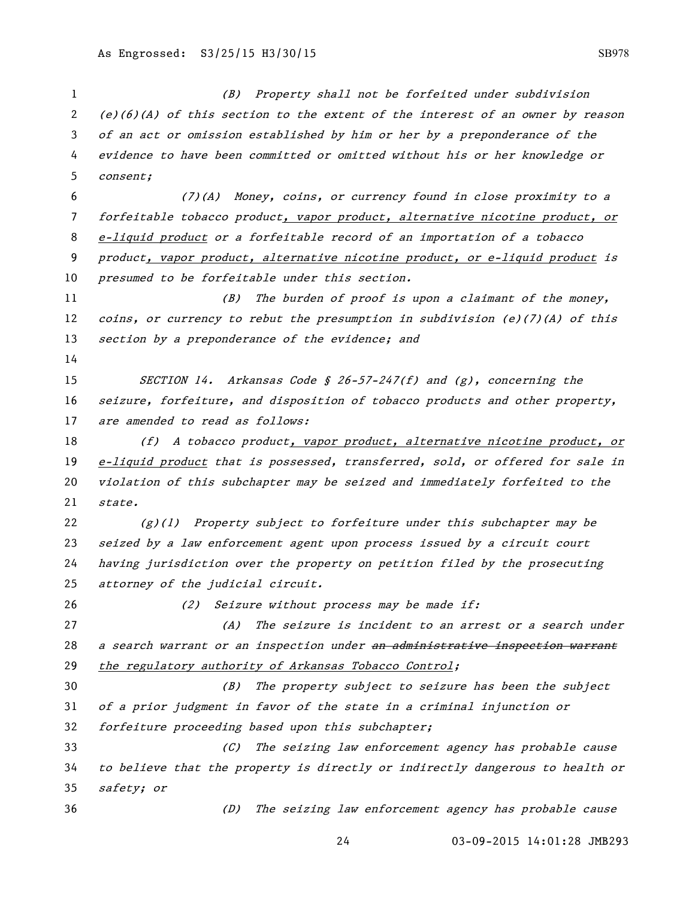(B) Property shall not be forfeited under subdivision (e)(6)(A) of this section to the extent of the interest of an owner by reason of an act or omission established by him or her by a preponderance of the evidence to have been committed or omitted without his or her knowledge or consent; (7)(A) Money, coins, or currency found in close proximity to a forfeitable tobacco product, vapor product, alternative nicotine product, or e-liquid product or a forfeitable record of an importation of a tobacco product, vapor product, alternative nicotine product, or e-liquid product is presumed to be forfeitable under this section. (B) The burden of proof is upon a claimant of the money, 12 coins, or currency to rebut the presumption in subdivision (e)(7)(A) of this 13 section by a preponderance of the evidence; and SECTION 14. Arkansas Code § 26-57-247(f) and (g), concerning the seizure, forfeiture, and disposition of tobacco products and other property, 17 are amended to read as follows: 18 (f) A tobacco product, vapor product, alternative nicotine product, or e-liquid product that is possessed, transferred, sold, or offered for sale in violation of this subchapter may be seized and immediately forfeited to the state.  $(g)(1)$  Property subject to forfeiture under this subchapter may be seized by a law enforcement agent upon process issued by a circuit court having jurisdiction over the property on petition filed by the prosecuting attorney of the judicial circuit. 26 (2) Seizure without process may be made if: (A) The seizure is incident to an arrest or a search under 28 a search warrant or an inspection under an administrative inspection warrant 29 the regulatory authority of Arkansas Tobacco Control; (B) The property subject to seizure has been the subject of a prior judgment in favor of the state in a criminal injunction or forfeiture proceeding based upon this subchapter; (C) The seizing law enforcement agency has probable cause to believe that the property is directly or indirectly dangerous to health or safety; or (D) The seizing law enforcement agency has probable cause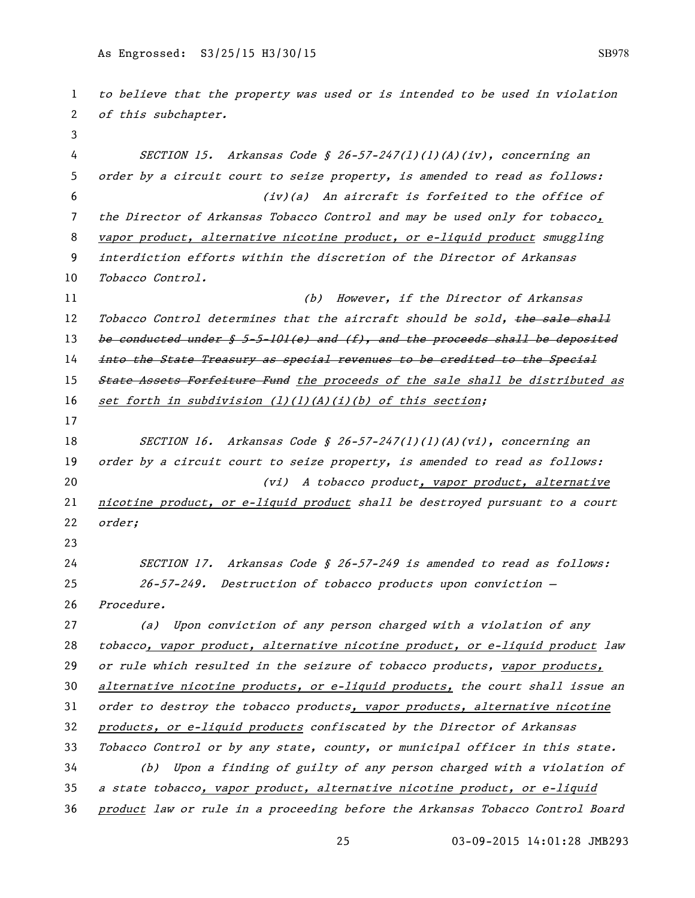to believe that the property was used or is intended to be used in violation 2 of this subchapter. SECTION 15. Arkansas Code § 26-57-247(l)(1)(A)(iv), concerning an order by a circuit court to seize property, is amended to read as follows: (iv)(a) An aircraft is forfeited to the office of the Director of Arkansas Tobacco Control and may be used only for tobacco, 8 vapor product, alternative nicotine product, or e-liquid product smuggling interdiction efforts within the discretion of the Director of Arkansas 10 Tobacco Control. 11 (b) However, if the Director of Arkansas 12 Tobacco Control determines that the aircraft should be sold, the sale shall 13 be conducted under  $$ 5-5-101(e)$  and  $(f)$ , and the proceeds shall be deposited 14 <del>into the State Treasury as special revenues to be credited to the Special</del> 15 State Assets Forfeiture Fund the proceeds of the sale shall be distributed as 16 set forth in subdivision  $(1)(1)(A)(i)(b)$  of this section; 18 SECTION 16. Arkansas Code § 26-57-247(1)(1)(A)(vi), concerning an 19 order by a circuit court to seize property, is amended to read as follows: (vi) A tobacco product, vapor product, alternative nicotine product, or e-liquid product shall be destroyed pursuant to a court order; SECTION 17. Arkansas Code § 26-57-249 is amended to read as follows: 26-57-249. Destruction of tobacco products upon conviction — Procedure. (a) Upon conviction of any person charged with a violation of any tobacco, vapor product, alternative nicotine product, or e-liquid product law 29 or rule which resulted in the seizure of tobacco products, vapor products, 30 alternative nicotine products, or e-liquid products, the court shall issue an order to destroy the tobacco products, vapor products, alternative nicotine products, or e-liquid products confiscated by the Director of Arkansas Tobacco Control or by any state, county, or municipal officer in this state. (b) Upon a finding of guilty of any person charged with a violation of a state tobacco, vapor product, alternative nicotine product, or e-liquid product law or rule in a proceeding before the Arkansas Tobacco Control Board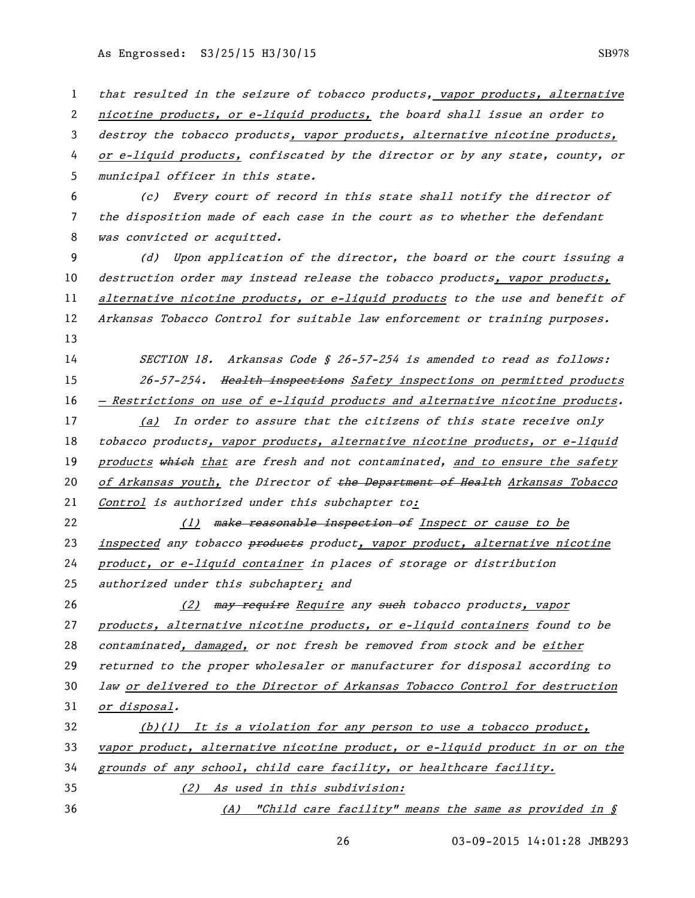1 that resulted in the seizure of tobacco products, vapor products, alternative 2 nicotine products, or e-liquid products, the board shall issue an order to 3 destroy the tobacco products, vapor products, alternative nicotine products, 4 or e-liquid products, confiscated by the director or by any state, county, or 5 municipal officer in this state. 6 (c) Every court of record in this state shall notify the director of 7 the disposition made of each case in the court as to whether the defendant 8 was convicted or acquitted. 9 (d) Upon application of the director, the board or the court issuing a 10 destruction order may instead release the tobacco products, vapor products, 11 alternative nicotine products, or e-liquid products to the use and benefit of 12 Arkansas Tobacco Control for suitable law enforcement or training purposes. 13 14 SECTION 18. Arkansas Code § 26-57-254 is amended to read as follows: 15 26-57-254. Health inspections Safety inspections on permitted products 16 — Restrictions on use of e-liquid products and alternative nicotine products. 17 (a) In order to assure that the citizens of this state receive only 18 tobacco products, vapor products, alternative nicotine products, or e-liquid 19 products which that are fresh and not contaminated, and to ensure the safety 20 of Arkansas youth, the Director of the Department of Health Arkansas Tobacco 21 Control is authorized under this subchapter to: 22 (1) make reasonable inspection of Inspect or cause to be 23 inspected any tobacco products product, vapor product, alternative nicotine 24 product, or e-liquid container in places of storage or distribution 25 authorized under this subchapter; and 26 (2) may require Require any such tobacco products, vapor 27 products, alternative nicotine products, or e-liquid containers found to be 28 contaminated, damaged, or not fresh be removed from stock and be either 29 returned to the proper wholesaler or manufacturer for disposal according to 30 law or delivered to the Director of Arkansas Tobacco Control for destruction 31 or disposal.  $(b)(1)$  It is a violation for any person to use a tobacco product, 33 vapor product, alternative nicotine product, or e-liquid product in or on the 34 grounds of any school, child care facility, or healthcare facility. 35 (2) As used in this subdivision: 36 (A) "Child care facility" means the same as provided in §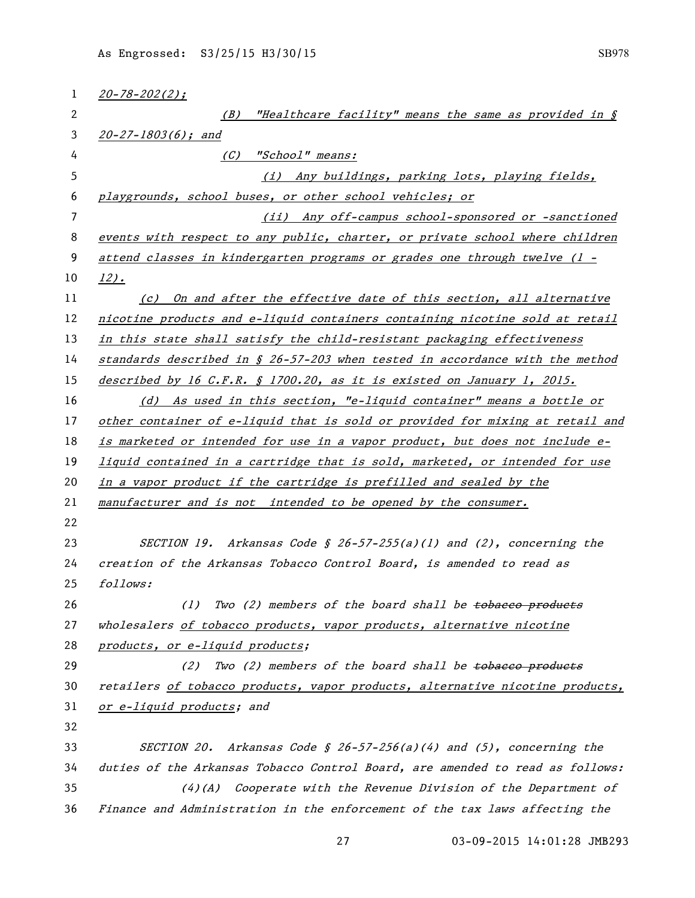| 1  | $20 - 78 - 202(2)$ ;                                                            |
|----|---------------------------------------------------------------------------------|
| 2  | "Healthcare facility" means the same as provided in §<br>(B)                    |
| 3  | $20 - 27 - 1803(6)$ ; and                                                       |
| 4  | (C)<br>"School" means:                                                          |
| 5  | (i) Any buildings, parking lots, playing fields,                                |
| 6  | playgrounds, school buses, or other school vehicles; or                         |
| 7  | (ii) Any off-campus school-sponsored or -sanctioned                             |
| 8  | events with respect to any public, charter, or private school where children    |
| 9  | attend classes in kindergarten programs or grades one through twelve (1 -       |
| 10 | $12$ ).                                                                         |
| 11 | (c) On and after the effective date of this section, all alternative            |
| 12 | nicotine products and e-liquid containers containing nicotine sold at retail    |
| 13 | in this state shall satisfy the child-resistant packaging effectiveness         |
| 14 | standards described in $\S$ 26-57-203 when tested in accordance with the method |
| 15 | described by 16 C.F.R. § 1700.20, as it is existed on January 1, 2015.          |
| 16 | (d) As used in this section, "e-liquid container" means a bottle or             |
| 17 | other container of e-liquid that is sold or provided for mixing at retail and   |
| 18 | is marketed or intended for use in a vapor product, but does not include e-     |
| 19 | liquid contained in a cartridge that is sold, marketed, or intended for use     |
| 20 | in a vapor product if the cartridge is prefilled and sealed by the              |
| 21 | manufacturer and is not intended to be opened by the consumer.                  |
| 22 |                                                                                 |
| 23 | SECTION 19. Arkansas Code § 26-57-255(a)(1) and (2), concerning the             |
| 24 | creation of the Arkansas Tobacco Control Board, is amended to read as           |
| 25 | follows:                                                                        |
| 26 | Two (2) members of the board shall be tobacco products<br>(1)                   |
| 27 | wholesalers of tobacco products, vapor products, alternative nicotine           |
| 28 | products, or e-liquid products;                                                 |
| 29 | Two (2) members of the board shall be tobacco products<br>(2)                   |
| 30 | retailers of tobacco products, vapor products, alternative nicotine products,   |
| 31 | or e-liquid products; and                                                       |
| 32 |                                                                                 |
| 33 | SECTION 20. Arkansas Code § 26-57-256(a)(4) and $(5)$ , concerning the          |
| 34 | duties of the Arkansas Tobacco Control Board, are amended to read as follows:   |
| 35 | $(4)$ (A) Cooperate with the Revenue Division of the Department of              |
| 36 | Finance and Administration in the enforcement of the tax laws affecting the     |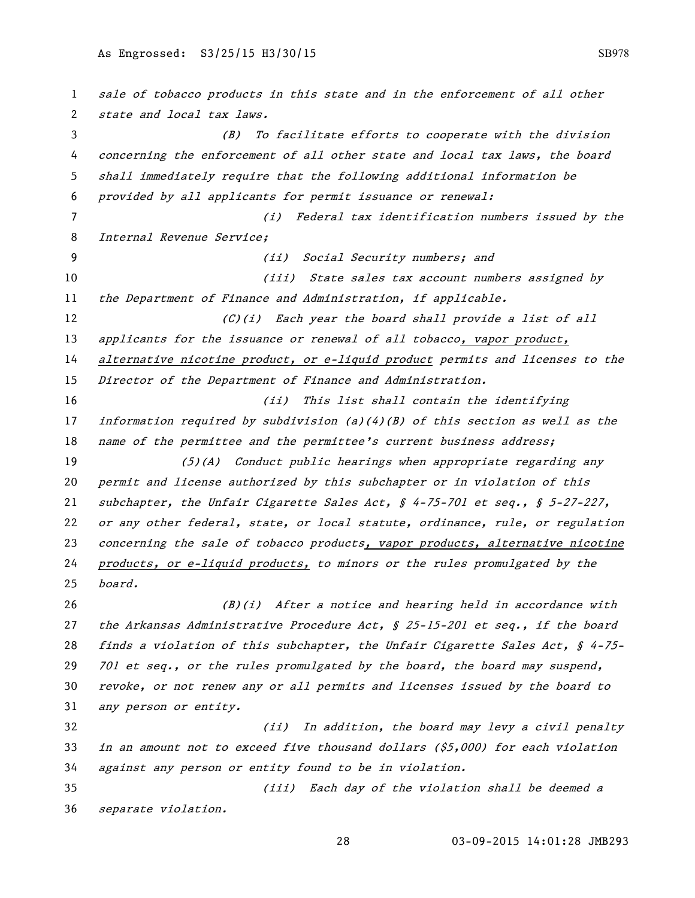sale of tobacco products in this state and in the enforcement of all other state and local tax laws. (B) To facilitate efforts to cooperate with the division concerning the enforcement of all other state and local tax laws, the board shall immediately require that the following additional information be provided by all applicants for permit issuance or renewal: (i) Federal tax identification numbers issued by the Internal Revenue Service; (ii) Social Security numbers; and 10 (iii) State sales tax account numbers assigned by 11 the Department of Finance and Administration, if applicable.  $(C)(i)$  Each year the board shall provide a list of all 13 applicants for the issuance or renewal of all tobacco, vapor product, 14 alternative nicotine product, or e-liquid product permits and licenses to the Director of the Department of Finance and Administration. (ii) This list shall contain the identifying information required by subdivision (a)(4)(B) of this section as well as the 18 name of the permittee and the permittee's current business address; (5)(A) Conduct public hearings when appropriate regarding any permit and license authorized by this subchapter or in violation of this 21 subchapter, the Unfair Cigarette Sales Act,  $\S$  4-75-701 et seq.,  $\S$  5-27-227, 22 or any other federal, state, or local statute, ordinance, rule, or regulation 23 concerning the sale of tobacco products, vapor products, alternative nicotine products, or e-liquid products, to minors or the rules promulgated by the board.  $(B)(i)$  After a notice and hearing held in accordance with the Arkansas Administrative Procedure Act, § 25-15-201 et seq., if the board 28 finds a violation of this subchapter, the Unfair Cigarette Sales Act,  $\oint$  4-75-29 701 et seq., or the rules promulgated by the board, the board may suspend, revoke, or not renew any or all permits and licenses issued by the board to any person or entity. (ii) In addition, the board may levy a civil penalty in an amount not to exceed five thousand dollars (\$5,000) for each violation against any person or entity found to be in violation. (iii) Each day of the violation shall be deemed a separate violation.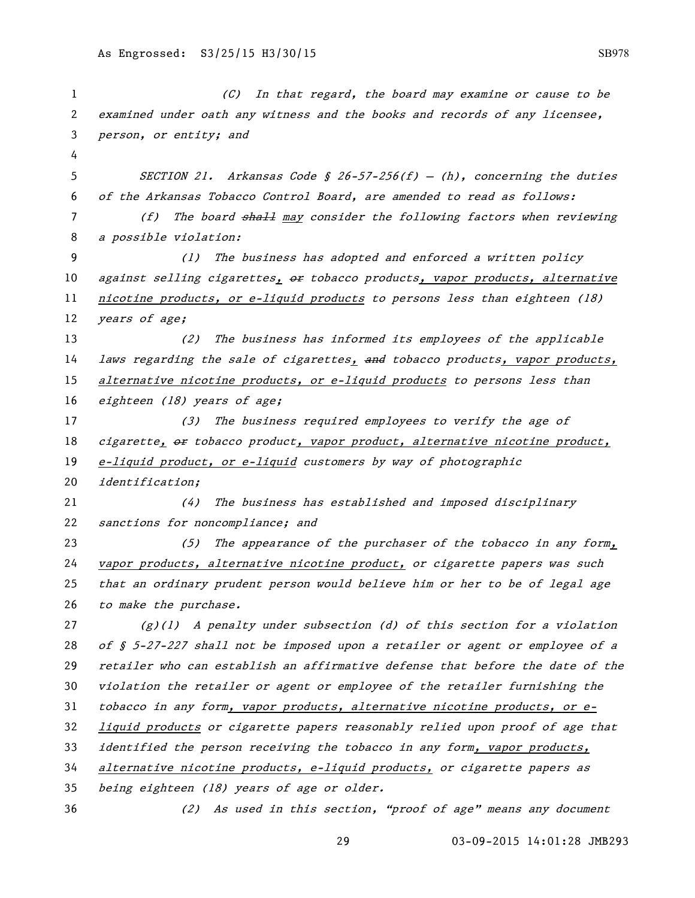(C) In that regard, the board may examine or cause to be examined under oath any witness and the books and records of any licensee, person, or entity; and SECTION 21. Arkansas Code § 26-57-256(f) — (h), concerning the duties of the Arkansas Tobacco Control Board, are amended to read as follows: 7 (f) The board shall may consider the following factors when reviewing a possible violation: (1) The business has adopted and enforced a written policy 10 against selling cigarettes, or tobacco products, vapor products, alternative 11 nicotine products, or e-liquid products to persons less than eighteen (18) 12 years of age; (2) The business has informed its employees of the applicable 14 laws regarding the sale of cigarettes, and tobacco products, vapor products, 15 alternative nicotine products, or e-liquid products to persons less than 16 eighteen (18) years of age; (3) The business required employees to verify the age of 18 cigarette, or tobacco product, vapor product, alternative nicotine product, 19 e-liquid product, or e-liquid customers by way of photographic identification; (4) The business has established and imposed disciplinary sanctions for noncompliance; and 23 (5) The appearance of the purchaser of the tobacco in any form, 24 vapor products, alternative nicotine product, or cigarette papers was such that an ordinary prudent person would believe him or her to be of legal age to make the purchase.  $(g)(1)$  A penalty under subsection (d) of this section for a violation 28 of  $\zeta$  5-27-227 shall not be imposed upon a retailer or agent or employee of a retailer who can establish an affirmative defense that before the date of the violation the retailer or agent or employee of the retailer furnishing the tobacco in any form, vapor products, alternative nicotine products, or e- liquid products or cigarette papers reasonably relied upon proof of age that identified the person receiving the tobacco in any form, vapor products, alternative nicotine products, e-liquid products, or cigarette papers as being eighteen (18) years of age or older. (2) As used in this section, "proof of age" means any document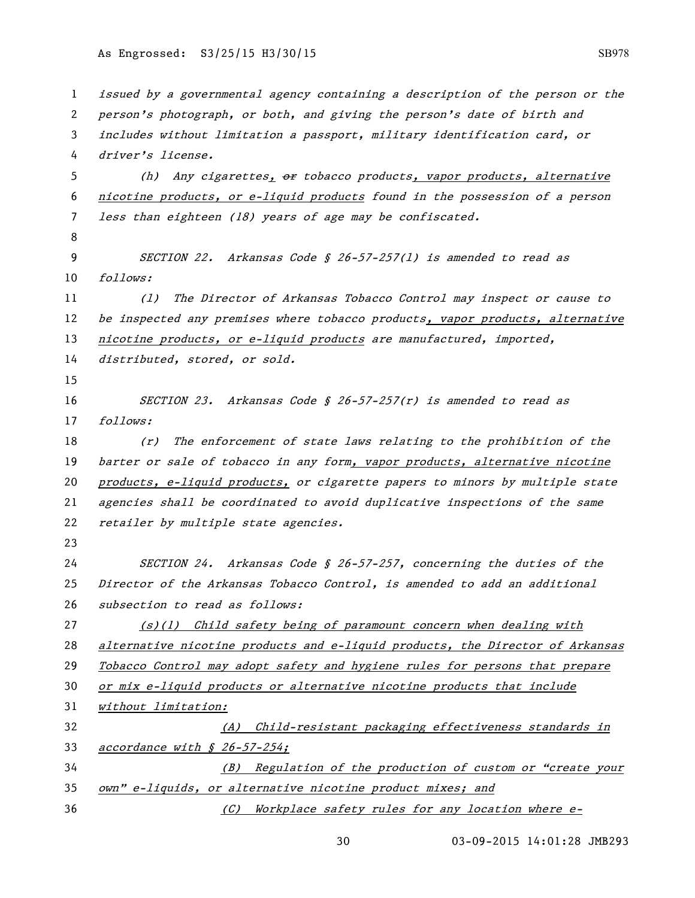issued by a governmental agency containing a description of the person or the person's photograph, or both, and giving the person's date of birth and includes without limitation a passport, military identification card, or driver's license. 5 (h) Any cigarettes, or tobacco products, vapor products, alternative nicotine products, or e-liquid products found in the possession of a person less than eighteen (18) years of age may be confiscated. SECTION 22. Arkansas Code § 26-57-257(l) is amended to read as follows: (l) The Director of Arkansas Tobacco Control may inspect or cause to 12 be inspected any premises where tobacco products, vapor products, alternative 13 nicotine products, or e-liquid products are manufactured, imported, distributed, stored, or sold. SECTION 23. Arkansas Code § 26-57-257(r) is amended to read as follows: (r) The enforcement of state laws relating to the prohibition of the 19 barter or sale of tobacco in any form, vapor products, alternative nicotine products, e-liquid products, or cigarette papers to minors by multiple state agencies shall be coordinated to avoid duplicative inspections of the same 22 retailer by multiple state agencies. SECTION 24. Arkansas Code § 26-57-257, concerning the duties of the Director of the Arkansas Tobacco Control, is amended to add an additional subsection to read as follows:  $(1)$  (s)(1) Child safety being of paramount concern when dealing with alternative nicotine products and e-liquid products, the Director of Arkansas Tobacco Control may adopt safety and hygiene rules for persons that prepare 30 or mix e-liquid products or alternative nicotine products that include without limitation: (A) Child-resistant packaging effectiveness standards in accordance with § 26-57-254; (B) Regulation of the production of custom or "create your own" e-liquids, or alternative nicotine product mixes; and (C) Workplace safety rules for any location where e-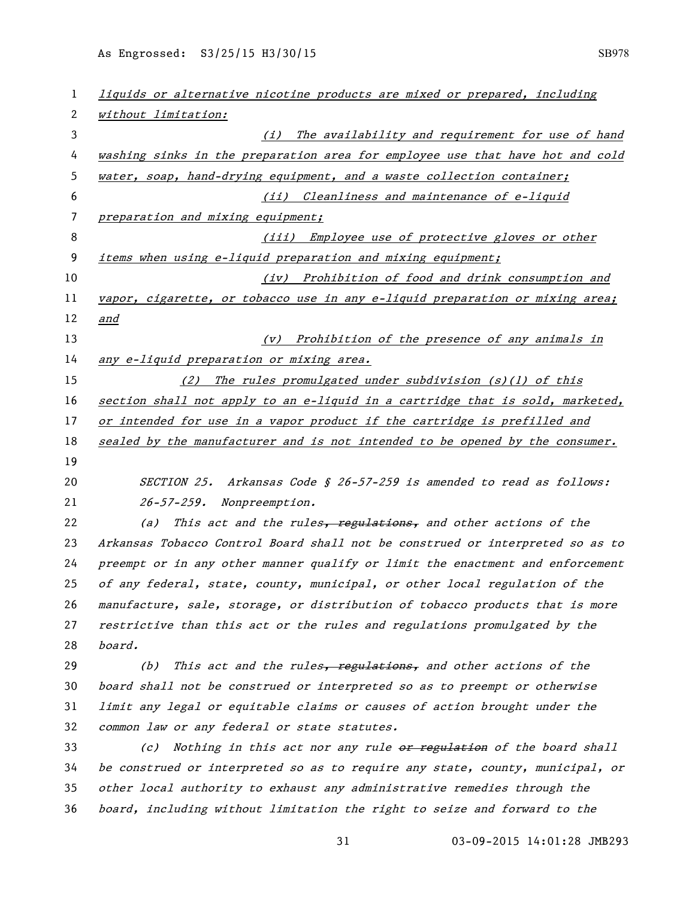| 1  | liquids or alternative nicotine products are mixed or prepared, including     |
|----|-------------------------------------------------------------------------------|
| 2  | without limitation:                                                           |
| 3  | The availability and requirement for use of hand<br>(i)                       |
| 4  | washing sinks in the preparation area for employee use that have hot and cold |
| 5  | water, soap, hand-drying equipment, and a waste collection container;         |
| 6  | (ii) Cleanliness and maintenance of e-liquid                                  |
| 7  | preparation and mixing equipment;                                             |
| 8  | (iii) Employee use of protective gloves or other                              |
| 9  | items when using e-liquid preparation and mixing equipment;                   |
| 10 | (iv) Prohibition of food and drink consumption and                            |
| 11 | vapor, cigarette, or tobacco use in any e-liquid preparation or mixing area;  |
| 12 | <u>and</u>                                                                    |
| 13 | (v) Prohibition of the presence of any animals in                             |
| 14 | any e-liquid preparation or mixing area.                                      |
| 15 | (2) The rules promulgated under subdivision $(s)(1)$ of this                  |
| 16 | section shall not apply to an e-liquid in a cartridge that is sold, marketed, |
| 17 | or intended for use in a vapor product if the cartridge is prefilled and      |
| 18 | sealed by the manufacturer and is not intended to be opened by the consumer.  |
| 19 |                                                                               |
| 20 | SECTION 25. Arkansas Code § 26-57-259 is amended to read as follows:          |
| 21 | 26-57-259. Nonpreemption.                                                     |
| 22 | This act and the rules, regulations, and other actions of the<br>(a)          |
| 23 | Arkansas Tobacco Control Board shall not be construed or interpreted so as to |
| 24 | preempt or in any other manner qualify or limit the enactment and enforcement |
| 25 | of any federal, state, county, municipal, or other local regulation of the    |
| 26 | manufacture, sale, storage, or distribution of tobacco products that is more  |
| 27 | restrictive than this act or the rules and regulations promulgated by the     |
| 28 | board.                                                                        |
| 29 | This act and the rules, regulations, and other actions of the<br>(b)          |
| 30 | board shall not be construed or interpreted so as to preempt or otherwise     |
| 31 | limit any legal or equitable claims or causes of action brought under the     |
| 32 | common law or any federal or state statutes.                                  |
| 33 | Nothing in this act nor any rule or regulation of the board shall<br>(c)      |
| 34 | be construed or interpreted so as to require any state, county, municipal, or |
| 35 | other local authority to exhaust any administrative remedies through the      |
| 36 | board, including without limitation the right to seize and forward to the     |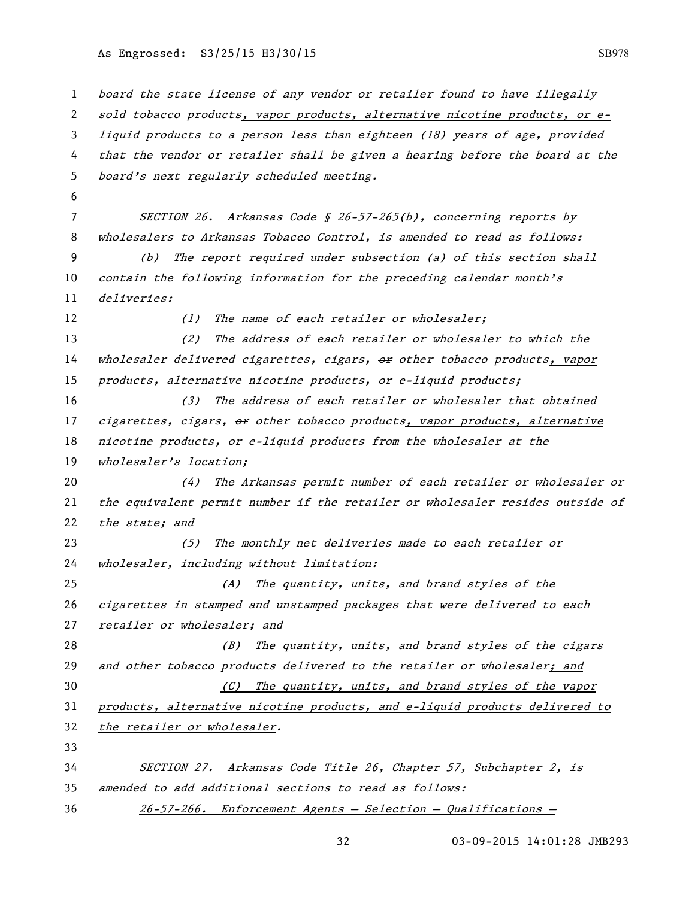| 1  | board the state license of any vendor or retailer found to have illegally     |
|----|-------------------------------------------------------------------------------|
| 2  |                                                                               |
|    | sold tobacco products, vapor products, alternative nicotine products, or e-   |
| 3  | liquid products to a person less than eighteen (18) years of age, provided    |
| 4  | that the vendor or retailer shall be given a hearing before the board at the  |
| 5  | board's next regularly scheduled meeting.                                     |
| 6  |                                                                               |
| 7  | SECTION 26. Arkansas Code § 26-57-265(b), concerning reports by               |
| 8  | wholesalers to Arkansas Tobacco Control, is amended to read as follows:       |
| 9  | The report required under subsection (a) of this section shall<br>(b)         |
| 10 | contain the following information for the preceding calendar month's          |
| 11 | deliveries:                                                                   |
| 12 | The name of each retailer or wholesaler;<br>(1)                               |
| 13 | (2)<br>The address of each retailer or wholesaler to which the                |
| 14 | wholesaler delivered cigarettes, cigars, or other tobacco products, vapor     |
| 15 | products, alternative nicotine products, or e-liquid products;                |
| 16 | The address of each retailer or wholesaler that obtained<br>(3)               |
| 17 | cigarettes, cigars, or other tobacco products, vapor products, alternative    |
| 18 | nicotine products, or e-liquid products from the wholesaler at the            |
| 19 | wholesaler's location;                                                        |
| 20 | The Arkansas permit number of each retailer or wholesaler or<br>(4)           |
| 21 | the equivalent permit number if the retailer or wholesaler resides outside of |
| 22 | the state; and                                                                |
| 23 | The monthly net deliveries made to each retailer or<br>(5)                    |
| 24 | wholesaler, including without limitation:                                     |
| 25 | The quantity, units, and brand styles of the<br>(A)                           |
| 26 | cigarettes in stamped and unstamped packages that were delivered to each      |
| 27 | retailer or wholesaler; and                                                   |
| 28 | (B) The quantity, units, and brand styles of the cigars                       |
| 29 | and other tobacco products delivered to the retailer or wholesaler; and       |
| 30 | The quantity, units, and brand styles of the vapor<br>(C)                     |
| 31 | products, alternative nicotine products, and e-liquid products delivered to   |
| 32 | the retailer or wholesaler.                                                   |
| 33 |                                                                               |
| 34 | SECTION 27. Arkansas Code Title 26, Chapter 57, Subchapter 2, is              |
| 35 | amended to add additional sections to read as follows:                        |
| 36 | $26-57-266$ . Enforcement Agents - Selection - Qualifications -               |
|    |                                                                               |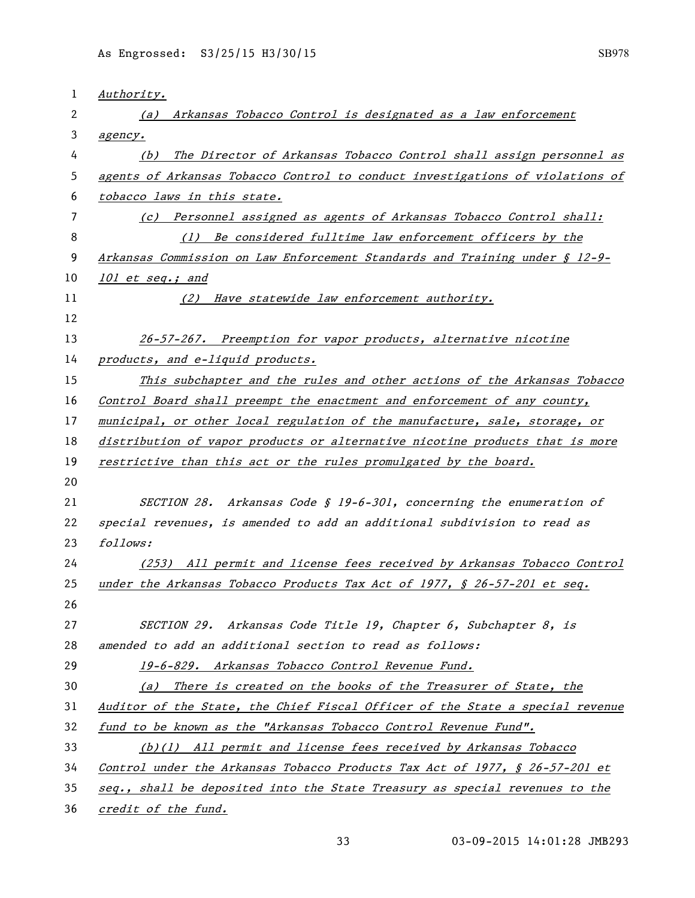| 1                     | Authority.                                                                    |
|-----------------------|-------------------------------------------------------------------------------|
| $\mathbf{2}^{\prime}$ | Arkansas Tobacco Control is designated as a law enforcement<br>(a)            |
| 3                     | agency.                                                                       |
| 4                     | The Director of Arkansas Tobacco Control shall assign personnel as<br>(b)     |
| 5                     | agents of Arkansas Tobacco Control to conduct investigations of violations of |
| 6                     | tobacco laws in this state.                                                   |
| 7                     | (c) Personnel assigned as agents of Arkansas Tobacco Control shall:           |
| 8                     | Be considered fulltime law enforcement officers by the<br>(1)                 |
| 9                     | Arkansas Commission on Law Enforcement Standards and Training under § 12-9-   |
| 10                    | 101 et seq.; and                                                              |
| 11                    | (2) Have statewide law enforcement authority.                                 |
| 12                    |                                                                               |
| 13                    | 26-57-267. Preemption for vapor products, alternative nicotine                |
| 14                    | products, and e-liquid products.                                              |
| 15                    | This subchapter and the rules and other actions of the Arkansas Tobacco       |
| 16                    | Control Board shall preempt the enactment and enforcement of any county,      |
| 17                    | municipal, or other local regulation of the manufacture, sale, storage, or    |
| 18                    | distribution of vapor products or alternative nicotine products that is more  |
| 19                    | restrictive than this act or the rules promulgated by the board.              |
| 20                    |                                                                               |
| 21                    | SECTION 28. Arkansas Code § 19-6-301, concerning the enumeration of           |
| 22                    | special revenues, is amended to add an additional subdivision to read as      |
| 23                    | follows:                                                                      |
| 24                    | (253) All permit and license fees received by Arkansas Tobacco Control        |
| 25                    | under the Arkansas Tobacco Products Tax Act of 1977, § 26-57-201 et seq.      |
| 26                    |                                                                               |
| 27                    | SECTION 29. Arkansas Code Title 19, Chapter 6, Subchapter 8, is               |
| 28                    | amended to add an additional section to read as follows:                      |
| 29                    | 19-6-829. Arkansas Tobacco Control Revenue Fund.                              |
| 30                    | (a) There is created on the books of the Treasurer of State, the              |
| 31                    | Auditor of the State, the Chief Fiscal Officer of the State a special revenue |
| 32                    | fund to be known as the "Arkansas Tobacco Control Revenue Fund".              |
| 33                    | (b)(1) All permit and license fees received by Arkansas Tobacco               |
| 34                    | Control under the Arkansas Tobacco Products Tax Act of 1977, § 26-57-201 et   |
| 35                    | seq., shall be deposited into the State Treasury as special revenues to the   |
| 36                    | credit of the fund.                                                           |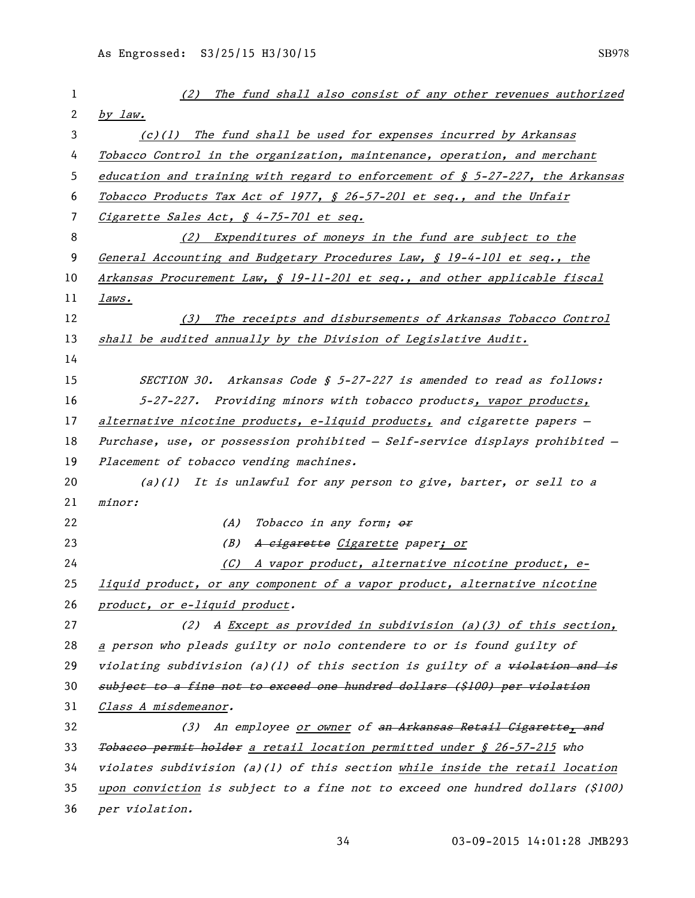| 1  | (2) The fund shall also consist of any other revenues authorized                    |
|----|-------------------------------------------------------------------------------------|
| 2  | by law.                                                                             |
| 3  | (c)(1) The fund shall be used for expenses incurred by Arkansas                     |
| 4  | Tobacco Control in the organization, maintenance, operation, and merchant           |
| 5  | education and training with regard to enforcement of $\zeta$ 5-27-227, the Arkansas |
| 6  | Tobacco Products Tax Act of 1977, § 26-57-201 et seq., and the Unfair               |
| 7  | Cigarette Sales Act, § 4-75-701 et seq.                                             |
| 8  | (2) Expenditures of moneys in the fund are subject to the                           |
| 9  | General Accounting and Budgetary Procedures Law, § 19-4-101 et seq., the            |
| 10 | Arkansas Procurement Law, § 19-11-201 et seq., and other applicable fiscal          |
| 11 | laws.                                                                               |
| 12 | The receipts and disbursements of Arkansas Tobacco Control<br>(3)                   |
| 13 | shall be audited annually by the Division of Legislative Audit.                     |
| 14 |                                                                                     |
| 15 | SECTION 30. Arkansas Code § 5-27-227 is amended to read as follows:                 |
| 16 | 5-27-227. Providing minors with tobacco products, vapor products,                   |
| 17 | alternative nicotine products, e-liquid products, and cigarette papers -            |
| 18 | Purchase, use, or possession prohibited - Self-service displays prohibited -        |
| 19 | Placement of tobacco vending machines.                                              |
| 20 | $(a)(1)$ It is unlawful for any person to give, barter, or sell to a                |
| 21 | minor:                                                                              |
| 22 | Tobacco in any form; or<br>(A)                                                      |
| 23 | (B)<br>A cigarette Cigarette paper; or                                              |
| 24 | A vapor product, alternative nicotine product, e-<br>(C)                            |
| 25 | liquid product, or any component of a vapor product, alternative nicotine           |
| 26 | product, or e-liquid product.                                                       |
| 27 | A Except as provided in subdivision (a)(3) of this section,<br>(2)                  |
| 28 | a person who pleads guilty or nolo contendere to or is found guilty of              |
| 29 | violating subdivision (a)(1) of this section is guilty of a violation and is        |
| 30 | subject to a fine not to exceed one hundred dollars (\$100) per violation           |
| 31 | Class A misdemeanor.                                                                |
| 32 | (3) An employee or owner of an Arkansas Retail Cigarette, and                       |
| 33 | Tobacco permit holder a retail location permitted under § 26-57-215 who             |
| 34 | violates subdivision (a)(1) of this section while inside the retail location        |
| 35 | upon conviction is subject to a fine not to exceed one hundred dollars (\$100)      |
| 36 | per violation.                                                                      |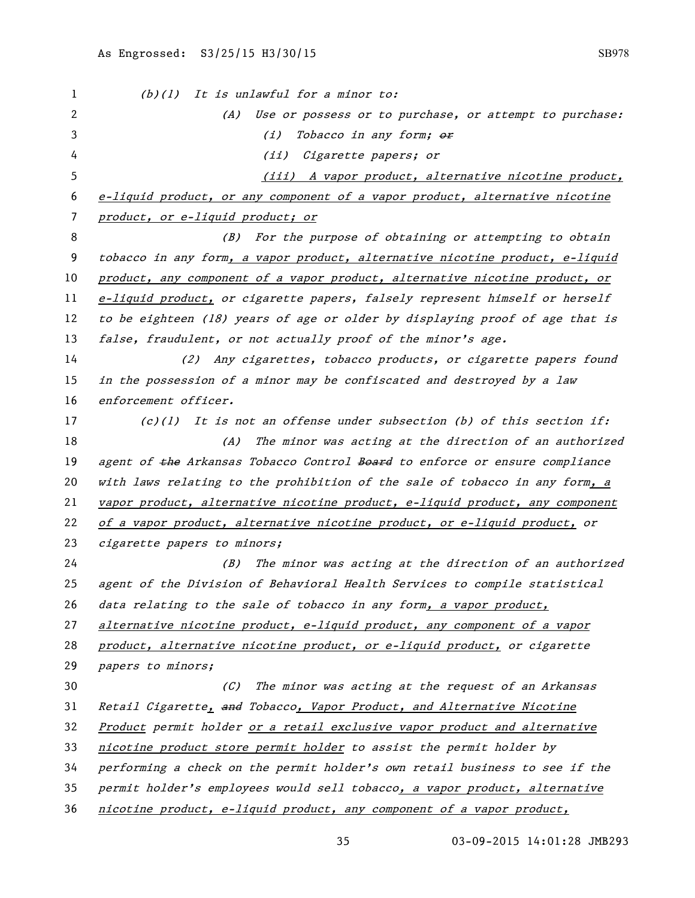| 1  | $(b)(1)$ It is unlawful for a minor to:                                      |
|----|------------------------------------------------------------------------------|
| 2  | (A) Use or possess or to purchase, or attempt to purchase:                   |
| 3  | Tobacco in any form; or<br>(i)                                               |
| 4  | (ii)<br>Cigarette papers; or                                                 |
| 5  | (iii) A vapor product, alternative nicotine product,                         |
| 6  | e-liquid product, or any component of a vapor product, alternative nicotine  |
| 7  | product, or e-liquid product; or                                             |
| 8  | (B) For the purpose of obtaining or attempting to obtain                     |
| 9  | tobacco in any form, a vapor product, alternative nicotine product, e-liquid |
| 10 | product, any component of a vapor product, alternative nicotine product, or  |
| 11 | e-liquid product, or cigarette papers, falsely represent himself or herself  |
| 12 | to be eighteen (18) years of age or older by displaying proof of age that is |
| 13 | false, fraudulent, or not actually proof of the minor's age.                 |
| 14 | (2) Any cigarettes, tobacco products, or cigarette papers found              |
| 15 | in the possession of a minor may be confiscated and destroyed by a law       |
| 16 | enforcement officer.                                                         |
| 17 | $(c)(1)$ It is not an offense under subsection (b) of this section if:       |
| 18 | The minor was acting at the direction of an authorized<br>(A)                |
| 19 | agent of the Arkansas Tobacco Control Board to enforce or ensure compliance  |
| 20 | with laws relating to the prohibition of the sale of tobacco in any form, a  |
| 21 | vapor product, alternative nicotine product, e-liquid product, any component |
| 22 | of a vapor product, alternative nicotine product, or e-liquid product, or    |
| 23 | cigarette papers to minors;                                                  |
| 24 | The minor was acting at the direction of an authorized<br>(B)                |
| 25 | agent of the Division of Behavioral Health Services to compile statistical   |
| 26 | data relating to the sale of tobacco in any form, a vapor product,           |
| 27 | alternative nicotine product, e-liquid product, any component of a vapor     |
| 28 | product, alternative nicotine product, or e-liquid product, or cigarette     |
| 29 | papers to minors;                                                            |
| 30 | (C) The minor was acting at the request of an Arkansas                       |
| 31 | Retail Cigarette, and Tobacco, Vapor Product, and Alternative Nicotine       |
| 32 | Product permit holder or a retail exclusive vapor product and alternative    |
| 33 | nicotine product store permit holder to assist the permit holder by          |
| 34 | performing a check on the permit holder's own retail business to see if the  |
| 35 | permit holder's employees would sell tobacco, a vapor product, alternative   |
| 36 | nicotine product, e-liquid product, any component of a vapor product,        |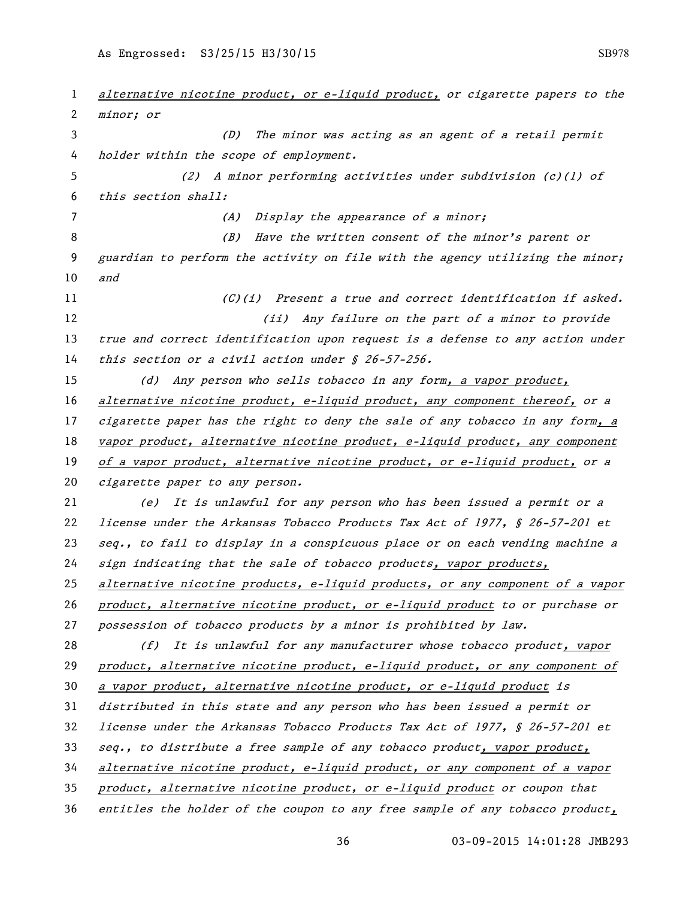alternative nicotine product, or e-liquid product, or cigarette papers to the minor; or (D) The minor was acting as an agent of a retail permit holder within the scope of employment. (2) A minor performing activities under subdivision (c)(1) of this section shall: 7 (A) Display the appearance of a minor; (B) Have the written consent of the minor's parent or guardian to perform the activity on file with the agency utilizing the minor; and (C)(i) Present a true and correct identification if asked. (ii) Any failure on the part of a minor to provide 13 true and correct identification upon request is a defense to any action under 14 this section or a civil action under § 26-57-256. (d) Any person who sells tobacco in any form, a vapor product, alternative nicotine product, e-liquid product, any component thereof, or a cigarette paper has the right to deny the sale of any tobacco in any form, a 18 vapor product, alternative nicotine product, e-liquid product, any component of a vapor product, alternative nicotine product, or e-liquid product, or a cigarette paper to any person. (e) It is unlawful for any person who has been issued a permit or a license under the Arkansas Tobacco Products Tax Act of 1977, § 26-57-201 et seq., to fail to display in a conspicuous place or on each vending machine a sign indicating that the sale of tobacco products, vapor products, 25 alternative nicotine products, e-liquid products, or any component of a vapor product, alternative nicotine product, or e-liquid product to or purchase or possession of tobacco products by a minor is prohibited by law. (f) It is unlawful for any manufacturer whose tobacco product, vapor 29 product, alternative nicotine product, e-liquid product, or any component of a vapor product, alternative nicotine product, or e-liquid product is distributed in this state and any person who has been issued a permit or license under the Arkansas Tobacco Products Tax Act of 1977, § 26-57-201 et seq., to distribute a free sample of any tobacco product, vapor product, alternative nicotine product, e-liquid product, or any component of a vapor product, alternative nicotine product, or e-liquid product or coupon that entitles the holder of the coupon to any free sample of any tobacco product,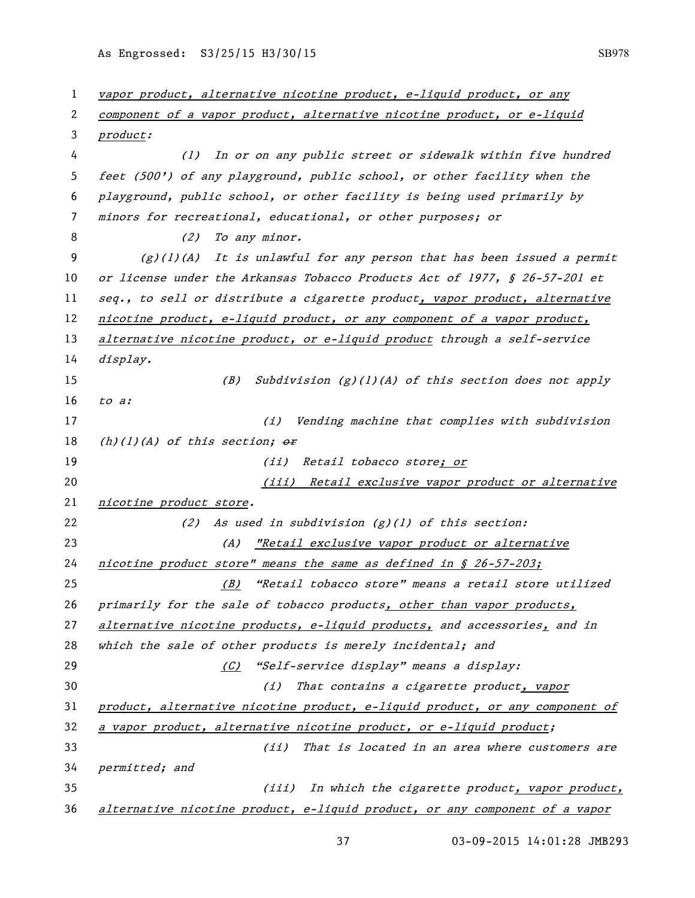vapor product, alternative nicotine product, e-liquid product, or any component of a vapor product, alternative nicotine product, or e-liquid product: (1) In or on any public street or sidewalk within five hundred feet (500') of any playground, public school, or other facility when the playground, public school, or other facility is being used primarily by minors for recreational, educational, or other purposes; or 8 (2) To any minor. (g)(1)(A) It is unlawful for any person that has been issued a permit or license under the Arkansas Tobacco Products Act of 1977, § 26-57-201 et 11 seq., to sell or distribute a cigarette product, vapor product, alternative 12 nicotine product, e-liquid product, or any component of a vapor product, 13 alternative nicotine product, or e-liquid product through a self-service display. (B) Subdivision (g)(1)(A) of this section does not apply to a: 17 (i) Vending machine that complies with subdivision 18 (h)(1)(A) of this section;  $\theta$ r 19 (ii) Retail tobacco store; or (iii) Retail exclusive vapor product or alternative nicotine product store. (2) As used in subdivision (g)(1) of this section: (A) "Retail exclusive vapor product or alternative 24 nicotine product store" means the same as defined in  $$26-57-203$ ; (B) "Retail tobacco store" means a retail store utilized 26 primarily for the sale of tobacco products, other than vapor products, 27 alternative nicotine products, e-liquid products, and accessories, and in 28 which the sale of other products is merely incidental; and (C) "Self-service display" means a display: 30 (i) That contains a cigarette product, vapor product, alternative nicotine product, e-liquid product, or any component of a vapor product, alternative nicotine product, or e-liquid product; (ii) That is located in an area where customers are permitted; and (iii) In which the cigarette product, vapor product, alternative nicotine product, e-liquid product, or any component of a vapor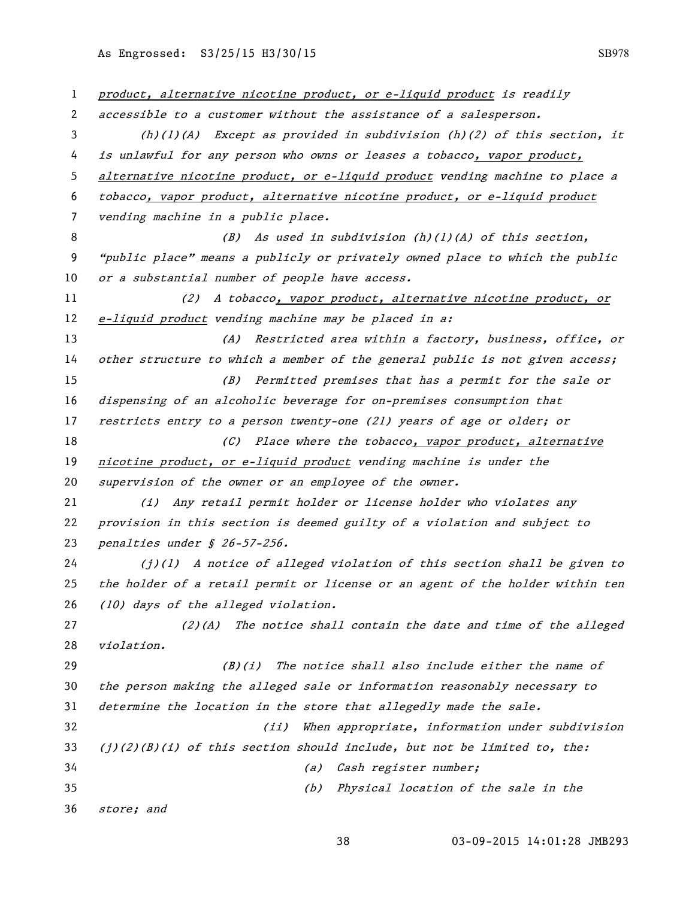product, alternative nicotine product, or e-liquid product is readily accessible to a customer without the assistance of a salesperson. (h)(1)(A) Except as provided in subdivision (h)(2) of this section, it is unlawful for any person who owns or leases a tobacco, vapor product, alternative nicotine product, or e-liquid product vending machine to place a tobacco, vapor product, alternative nicotine product, or e-liquid product vending machine in a public place. 8 (B) As used in subdivision (h)(1)(A) of this section, "public place" means a publicly or privately owned place to which the public 10 or a substantial number of people have access. (2) A tobacco, vapor product, alternative nicotine product, or 12 e-liquid product vending machine may be placed in a: (A) Restricted area within a factory, business, office, or other structure to which a member of the general public is not given access; (B) Permitted premises that has a permit for the sale or dispensing of an alcoholic beverage for on-premises consumption that restricts entry to a person twenty-one (21) years of age or older; or 18 (C) Place where the tobacco, vapor product, alternative nicotine product, or e-liquid product vending machine is under the 20 supervision of the owner or an employee of the owner. (i) Any retail permit holder or license holder who violates any provision in this section is deemed guilty of a violation and subject to penalties under § 26-57-256.  $(1)(1)$  A notice of alleged violation of this section shall be given to the holder of a retail permit or license or an agent of the holder within ten (10) days of the alleged violation.  $(2)(A)$  The notice shall contain the date and time of the alleged violation. 29 (B)(i) The notice shall also include either the name of the person making the alleged sale or information reasonably necessary to determine the location in the store that allegedly made the sale. (ii) When appropriate, information under subdivision 33 (j)(2)(B)(i) of this section should include, but not be limited to, the: (a) Cash register number; (b) Physical location of the sale in the store; and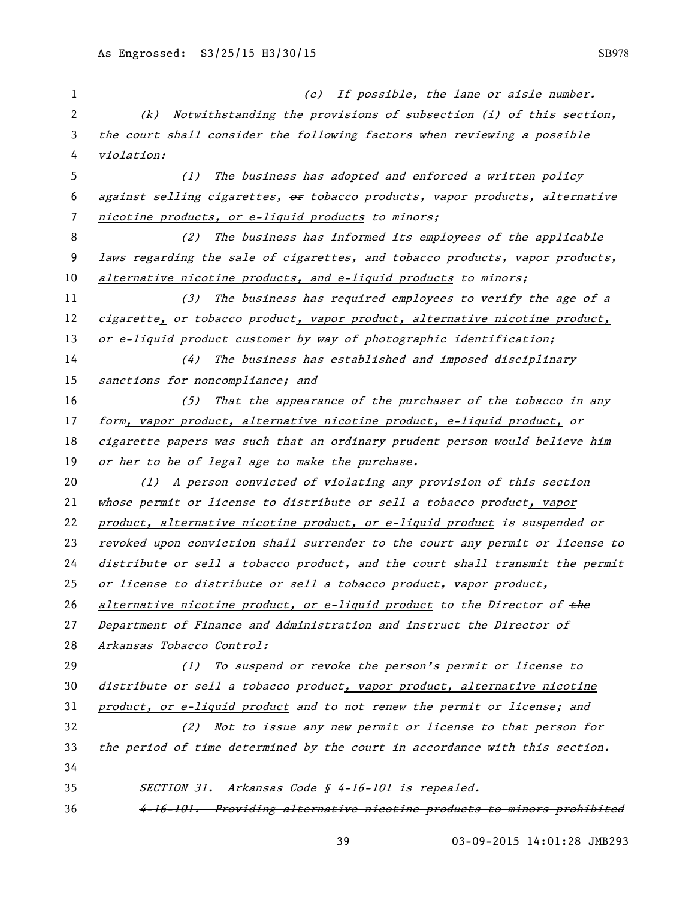1 (c) If possible, the lane or aisle number. (k) Notwithstanding the provisions of subsection (i) of this section, the court shall consider the following factors when reviewing a possible violation: (1) The business has adopted and enforced a written policy 6 against selling cigarettes,  $\theta$  tobacco products, vapor products, alternative nicotine products, or e-liquid products to minors; (2) The business has informed its employees of the applicable 9 laws regarding the sale of cigarettes, and tobacco products, vapor products, alternative nicotine products, and e-liquid products to minors; (3) The business has required employees to verify the age of a 12 cigarette, or tobacco product, vapor product, alternative nicotine product, 13 or e-liquid product customer by way of photographic identification; (4) The business has established and imposed disciplinary 15 sanctions for noncompliance; and (5) That the appearance of the purchaser of the tobacco in any form, vapor product, alternative nicotine product, e-liquid product, or cigarette papers was such that an ordinary prudent person would believe him 19 or her to be of legal age to make the purchase. (l) A person convicted of violating any provision of this section whose permit or license to distribute or sell a tobacco product, vapor product, alternative nicotine product, or e-liquid product is suspended or revoked upon conviction shall surrender to the court any permit or license to distribute or sell a tobacco product, and the court shall transmit the permit or license to distribute or sell a tobacco product, vapor product, 26 alternative nicotine product, or e-liquid product to the Director of the Department of Finance and Administration and instruct the Director of Arkansas Tobacco Control: (1) To suspend or revoke the person's permit or license to 30 distribute or sell a tobacco product, vapor product, alternative nicotine product, or e-liquid product and to not renew the permit or license; and (2) Not to issue any new permit or license to that person for the period of time determined by the court in accordance with this section. SECTION 31. Arkansas Code § 4-16-101 is repealed. 4-16-101. Providing alternative nicotine products to minors prohibited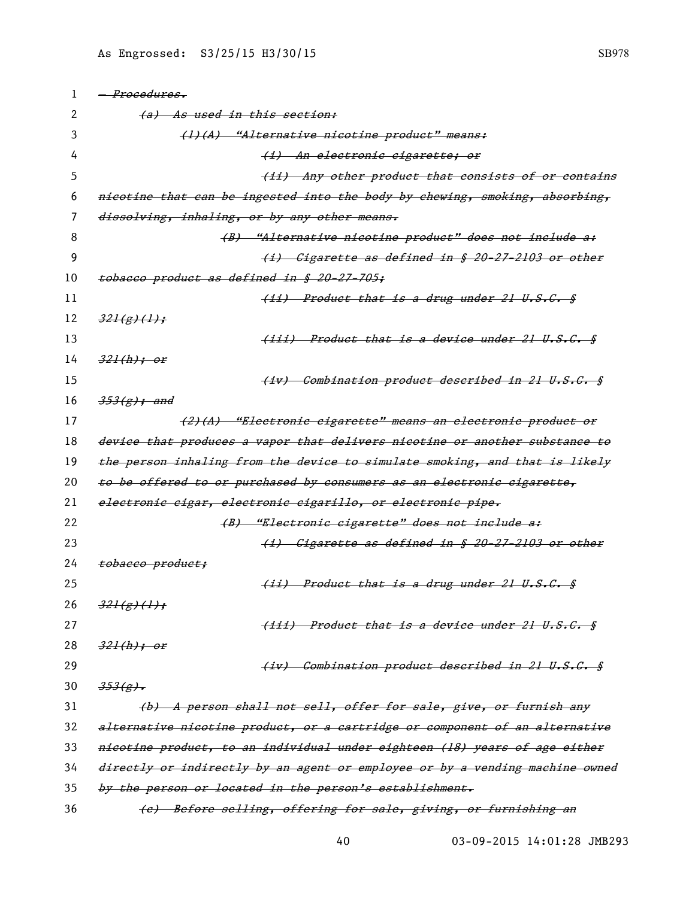| 1  | <i>- Procedures.</i>                                                         |
|----|------------------------------------------------------------------------------|
| 2  | (a) As used in this section:                                                 |
| 3  | (1)(A) "Alternative nicotine product" means:                                 |
| 4  | (i) An electronic cigarette; or                                              |
| 5  | (ii) Any other product that consists of or contains                          |
| 6  | nicotine that can be ingested into the body by chewing, smoking, absorbing,  |
| 7  | dissolving, inhaling, or by any other means.                                 |
| 8  | (B) "Alternative nicotine product" does not include a:                       |
| 9  | (i) Cigarette as defined in § 20-27-2103 or other                            |
| 10 | tobacco product as defined in § 20-27-705;                                   |
| 11 | (ii) Product that is a drug under 21 U.S.C. §                                |
| 12 | 321(g)(1);                                                                   |
| 13 | (iii) Product that is a device under 21 U.S.C. §                             |
| 14 | <del>321(h); or</del>                                                        |
| 15 | (iv) Combination product described in 21 U.S.C. §                            |
| 16 | <del>353(g); and</del>                                                       |
| 17 | (2)(A) "Electronic cigarette" means an electronic product or                 |
| 18 | device that produces a vapor that delivers nicotine or another substance to  |
| 19 | the person inhaling from the device to simulate smoking, and that is likely  |
| 20 | to be offered to or purchased by consumers as an electronic cigarette,       |
| 21 | electronic cigar, electronic cigarillo, or electronic pipe.                  |
| 22 | (B) "Electronic cigarette" does not include a:                               |
| 23 | (i) Cigarette as defined in § 20-27-2103 or other                            |
| 24 | tobacco product;                                                             |
| 25 | (ii) Product that is a drug under 21 U.S.C. §                                |
| 26 | 321(g)(1);                                                                   |
| 27 | (iii) Product that is a device under 21 U.S.C. §                             |
| 28 | $321(h)$ ; or                                                                |
| 29 | (iv) Combination product described in 21 U.S.C. §                            |
| 30 | $353(g)$ .                                                                   |
| 31 | (b) A person shall not sell, offer for sale, give, or furnish any            |
| 32 | alternative nicotine product, or a cartridge or component of an alternative  |
| 33 | nicotine product, to an individual under eighteen (18) years of age either   |
| 34 | directly or indirectly by an agent or employee or by a vending machine owned |
| 35 | by the person or located in the person's establishment.                      |
| 36 | (e) Before selling, offering for sale, giving, or furnishing an              |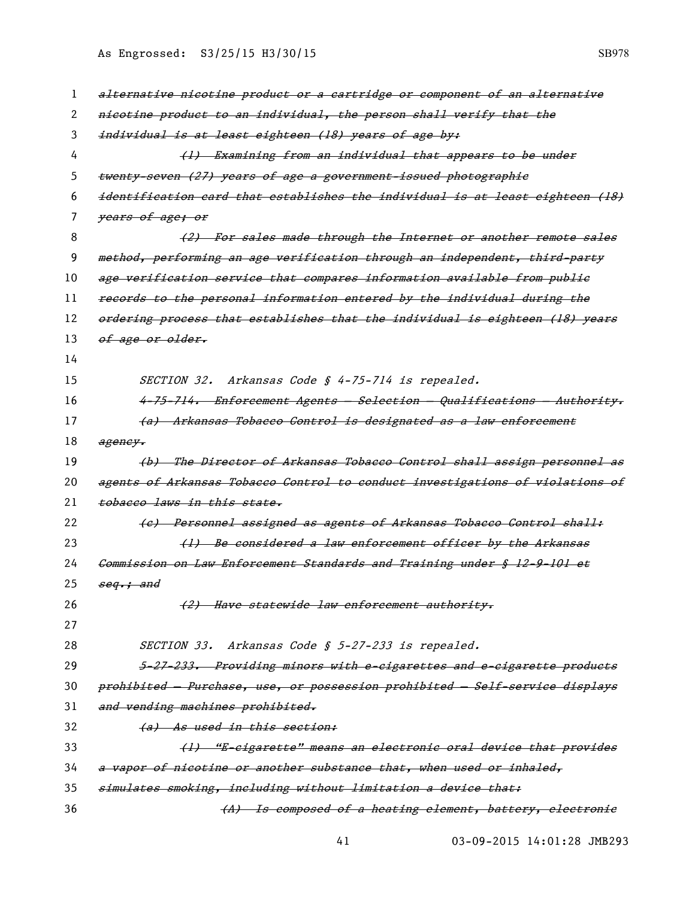| ш |  |
|---|--|

| 1  | alternative nicotine product or a cartridge or component of an alternative        |
|----|-----------------------------------------------------------------------------------|
| 2  | nicotine product to an individual, the person shall verify that the               |
| 3  | individual is at least eighteen (18) years of age by:                             |
| 4  | (1) Examining from an individual that appears to be under                         |
| 5  | twenty-seven (27) years of age a government-issued photographie                   |
| 6  | identification card that establishes the individual is at least eighteen (18)     |
| 7  | years of age; or                                                                  |
| 8  | (2) For sales made through the Internet or another remote sales                   |
| 9  | method, performing an age verification through an independent, third party        |
| 10 | age verification service that compares information available from public          |
| 11 | records to the personal information entered by the individual during the          |
| 12 | ordering process that establishes that the individual is eighteen (18) years      |
| 13 | of age or older.                                                                  |
| 14 |                                                                                   |
| 15 | SECTION 32. Arkansas Code § 4-75-714 is repealed.                                 |
| 16 | <del>4-75-714. Enforcement Agents - Selection - Qualifications - Authority.</del> |
| 17 | (a) Arkansas Tobacco Control is designated as a law enforcement                   |
| 18 | ageney.                                                                           |
| 19 | (b) The Director of Arkansas Tobacco Control shall assign personnel as            |
| 20 | agents of Arkansas Tobacco Control to conduct investigations of violations of     |
| 21 | tobacco laws in this state.                                                       |
| 22 | (e) Personnel assigned as agents of Arkansas Tobacco Control shall:               |
| 23 | (1) Be considered a law enforcement officer by the Arkansas                       |
| 24 | Commission on Law Enforcement Standards and Training under § 12-9-101 et          |
| 25 | seq.; and                                                                         |
| 26 | (2) Have statewide law enforcement authority.                                     |
| 27 |                                                                                   |
| 28 | SECTION 33. Arkansas Code § 5-27-233 is repealed.                                 |
| 29 | 5-27-233. Providing minors with e-eigarettes and e-eigarette products             |
| 30 | prohibited - Purchase, use, or possession prohibited - Self-service displays      |
| 31 | and vending machines prohibited.                                                  |
| 32 | (a) As used in this section:                                                      |
| 33 | (1) "E-cigarette" means an electronic oral device that provides                   |
| 34 | a vapor of nicotine or another substance that, when used or inhaled,              |
| 35 | simulates smoking, including without limitation a device that:                    |
| 36 | (A) Is composed of a heating element, battery, electronic                         |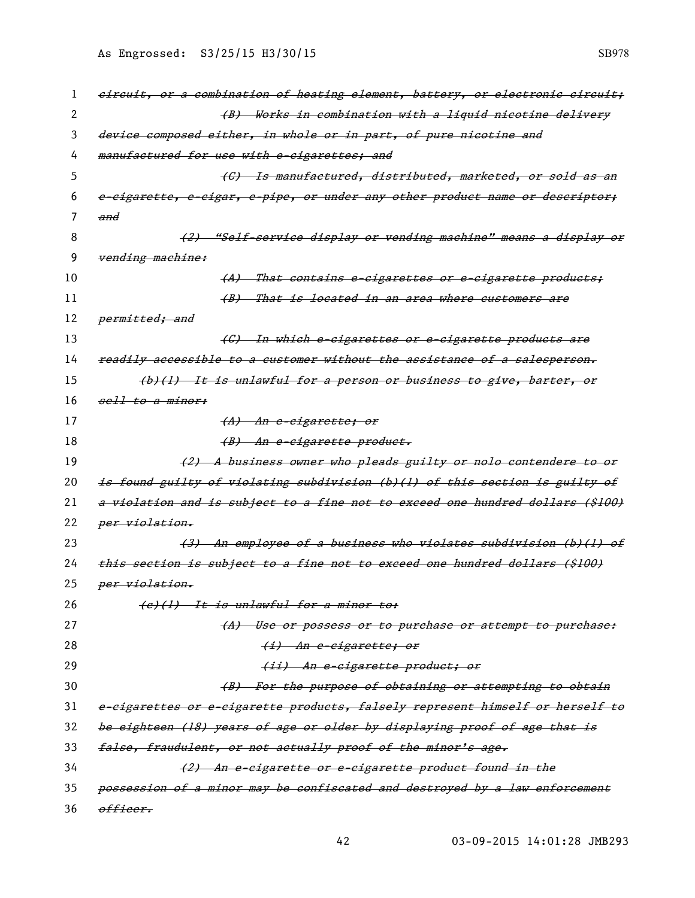| 1  | eireuit, or a combination of heating element, battery, or electronic circuit;     |
|----|-----------------------------------------------------------------------------------|
| 2  | (B) Works in combination with a liquid nicotine delivery                          |
| 3  | device composed either, in whole or in part, of pure nicotine and                 |
| 4  | manufactured for use with e-cigarettes; and                                       |
| 5  | (C) Is manufactured, distributed, marketed, or sold as an                         |
| 6  | e-eigarette, e-eigar, e-pipe, or under any other product name or descriptor;      |
| 7  | and                                                                               |
| 8  | (2) "Self-service display or vending machine" means a display or                  |
| 9  | vending machine:                                                                  |
| 10 | <u>That contains e-cigarettes or e-cigarette products;</u><br>- <del>(</del> A) — |
| 11 | (B) That is located in an area where customers are                                |
| 12 | <del>permitted; and</del>                                                         |
| 13 | <del>(C) In which e-cigarettes or e-cigarette products are</del>                  |
| 14 | readily accessible to a customer without the assistance of a salesperson.         |
| 15 | (b)(1) It is unlawful for a person or business to give, barter, or                |
| 16 | sell to a minor:                                                                  |
| 17 | <del>(A) An e-cigarette; or</del>                                                 |
| 18 | <del>(B) An e-cigarette product.</del>                                            |
| 19 | (2) A business owner who pleads guilty or nolo contendere to or                   |
| 20 | is found guilty of violating subdivision (b)(l) of this section is guilty of      |
| 21 | a violation and is subject to a fine not to exceed one hundred dollars (\$100)    |
| 22 | per violation.                                                                    |
| 23 | (3) An employee of a business who violates subdivision (b)(l) of                  |
| 24 | this section is subject to a fine not to exceed one hundred dollars (\$100)       |
| 25 | per violation.                                                                    |
| 26 | (e)(1) It is unlawful for a minor to:                                             |
| 27 | (A) Use or possess or to purchase or attempt to purchase:                         |
| 28 | <del>(i) An e-cigarette; or</del>                                                 |
| 29 | (ii) An e-cigarette product; or                                                   |
| 30 | (B) For the purpose of obtaining or attempting to obtain                          |
| 31 | e-eigarettes or e-eigarette products, falsely represent himself or herself to     |
| 32 | be eighteen (18) years of age or older by displaying proof of age that is         |
| 33 | false, fraudulent, or not actually proof of the minor's age.                      |
| 34 | (2) An e-eigarette or e-eigarette product found in the                            |
| 35 | possession of a minor may be confiscated and destroyed by a law enforcement       |
| 36 | officer.                                                                          |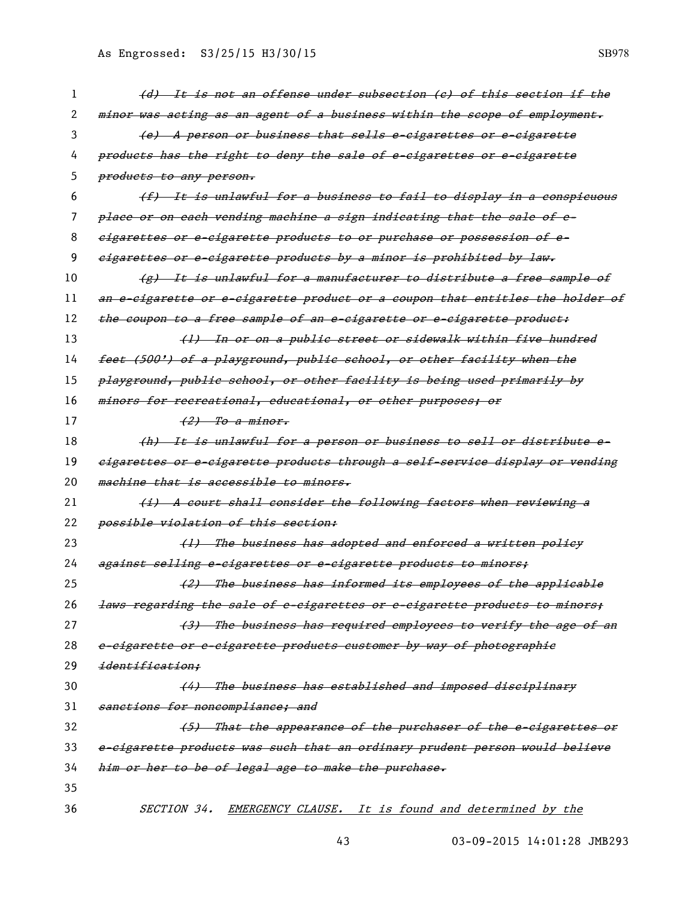| 1  | (d) It is not an offense under subsection (e) of this section if the          |
|----|-------------------------------------------------------------------------------|
| 2  | minor was acting as an agent of a business within the scope of employment.    |
| 3  | (e) A person or business that sells e-eigarettes or e-eigarette               |
| 4  | products has the right to deny the sale of e-cigarettes or e-cigarette        |
| 5  | products to any person.                                                       |
| 6  | (f) It is unlawful for a business to fail to display in a conspicuous         |
| 7  | place or on each vending machine a sign indicating that the sale of e-        |
| 8  | eigarettes or e-cigarette products to or purchase or possession of e-         |
| 9  | eigarettes or e-eigarette products by a minor is prohibited by law.           |
| 10 | (g) It is unlawful for a manufacturer to distribute a free sample of          |
| 11 | an e-eigarette or e-eigarette product or a coupon that entitles the holder of |
| 12 | the coupon to a free sample of an e-eigarette or e-eigarette product:         |
| 13 | (1) In or on a public street or sidewalk within five hundred                  |
| 14 | feet (500') of a playground, public school, or other facility when the        |
| 15 | playground, publie school, or other facility is being used primarily by       |
| 16 | minors for recreational, educational, or other purposes; or                   |
| 17 | <del>(2) To a minor.</del>                                                    |
| 18 | (h) It is unlawful for a person or business to sell or distribute e-          |
| 19 | eigarettes or e-eigarette produets through a self-service display or vending  |
| 20 | machine that is accessible to minors.                                         |
| 21 | (i) A court shall consider the following factors when reviewing a             |
| 22 | possible violation of this section:                                           |
| 23 | (1) The business has adopted and enforced a written policy                    |
| 24 | against selling e-eigarettes or e-eigarette products to minors;               |
| 25 | (2) The business has informed its employees of the applicable                 |
| 26 | laws regarding the sale of e-cigarettes or e-cigarette products to minors;    |
| 27 | (3) The business has required employees to verify the age of an               |
| 28 | e-eigarette or e-eigarette products customer by way of photographie           |
| 29 | identification:                                                               |
| 30 | (4) The business has established and imposed disciplinary                     |
| 31 | sanctions for noncompliance; and                                              |
| 32 | (5) That the appearance of the purchaser of the e-cigarettes or               |
| 33 | e-cigarette products was such that an ordinary prudent person would believe   |
| 34 | him or her to be of legal age to make the purchase.                           |
| 35 |                                                                               |
| 36 | SECTION 34. EMERGENCY CLAUSE. It is found and determined by the               |